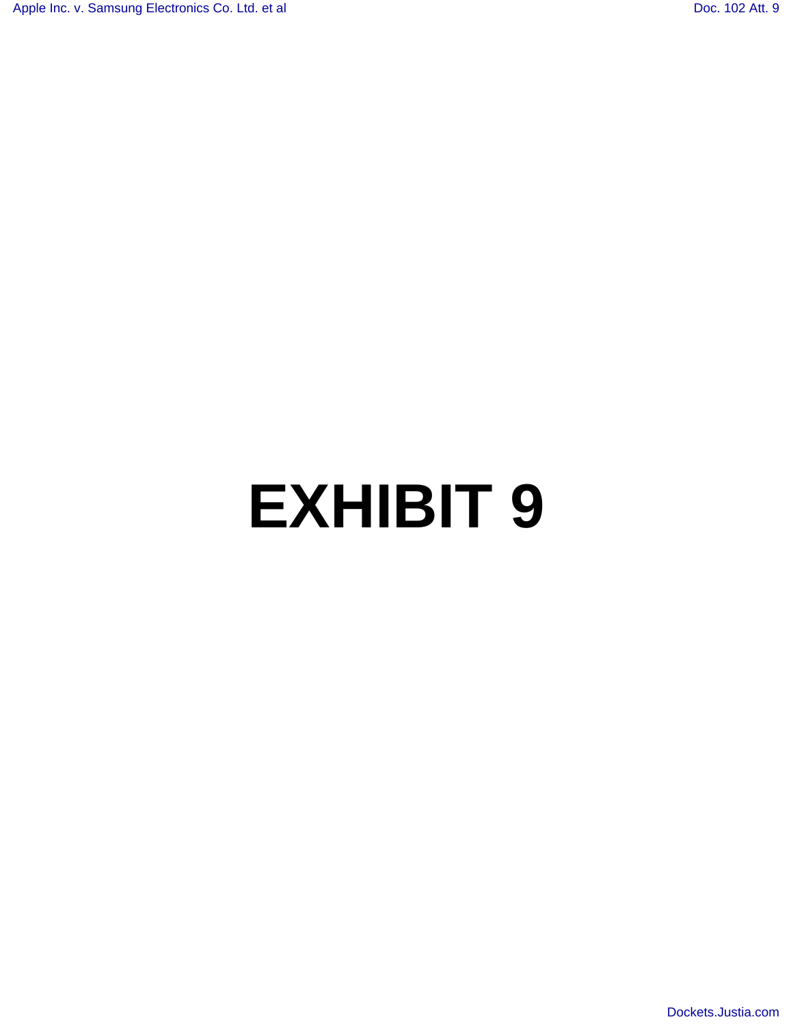# **EXHIBIT 9**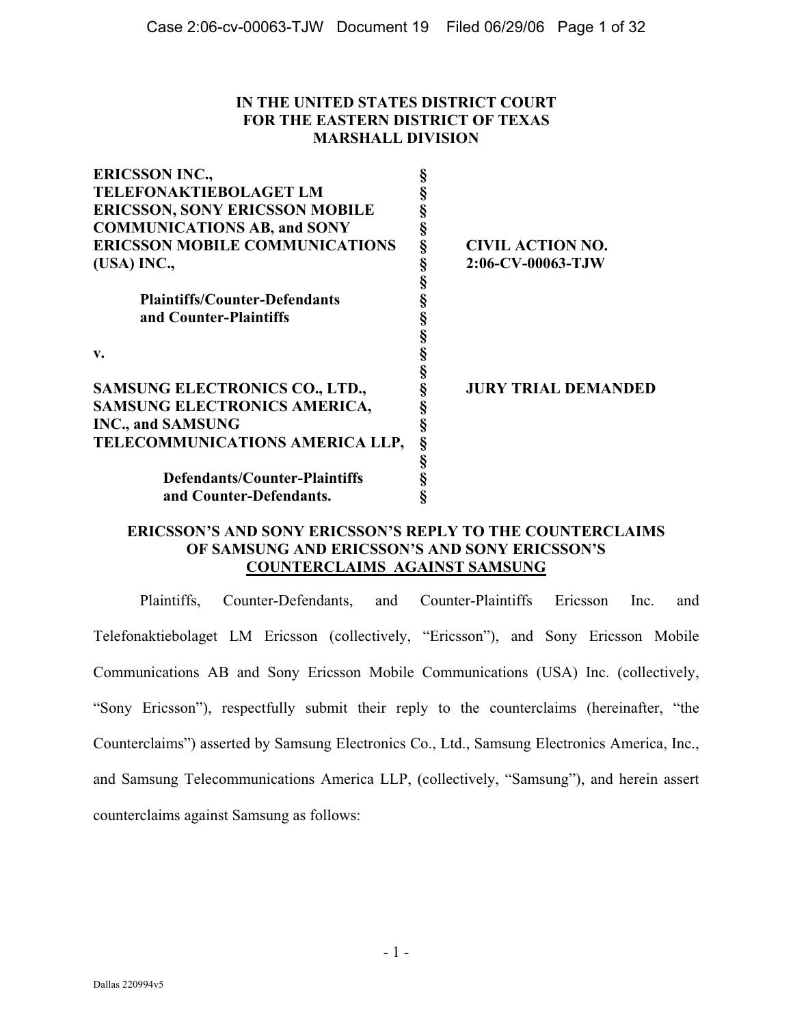# **IN THE UNITED STATES DISTRICT COURT FOR THE EASTERN DISTRICT OF TEXAS MARSHALL DIVISION**

| <b>ERICSSON INC.,</b>                 |   |                            |
|---------------------------------------|---|----------------------------|
| <b>TELEFONAKTIEBOLAGET LM</b>         |   |                            |
| <b>ERICSSON, SONY ERICSSON MOBILE</b> |   |                            |
| <b>COMMUNICATIONS AB, and SONY</b>    |   |                            |
| <b>ERICSSON MOBILE COMMUNICATIONS</b> | ş | <b>CIVIL ACTION NO.</b>    |
| (USA) INC.,                           |   | 2:06-CV-00063-TJW          |
|                                       |   |                            |
| <b>Plaintiffs/Counter-Defendants</b>  |   |                            |
| and Counter-Plaintiffs                |   |                            |
|                                       |   |                            |
| v.                                    |   |                            |
|                                       |   |                            |
| <b>SAMSUNG ELECTRONICS CO., LTD.,</b> |   | <b>JURY TRIAL DEMANDED</b> |
| SAMSUNG ELECTRONICS AMERICA,          |   |                            |
| <b>INC., and SAMSUNG</b>              |   |                            |
| TELECOMMUNICATIONS AMERICA LLP,       |   |                            |
|                                       |   |                            |
| Defendants/Counter-Plaintiffs         |   |                            |
| and Counter-Defendants.               |   |                            |
|                                       |   |                            |

## **ERICSSON'S AND SONY ERICSSON'S REPLY TO THE COUNTERCLAIMS OF SAMSUNG AND ERICSSON'S AND SONY ERICSSON'S COUNTERCLAIMS AGAINST SAMSUNG**

Plaintiffs, Counter-Defendants, and Counter-Plaintiffs Ericsson Inc. and Telefonaktiebolaget LM Ericsson (collectively, "Ericsson"), and Sony Ericsson Mobile Communications AB and Sony Ericsson Mobile Communications (USA) Inc. (collectively, "Sony Ericsson"), respectfully submit their reply to the counterclaims (hereinafter, "the Counterclaims") asserted by Samsung Electronics Co., Ltd., Samsung Electronics America, Inc., and Samsung Telecommunications America LLP, (collectively, "Samsung"), and herein assert counterclaims against Samsung as follows: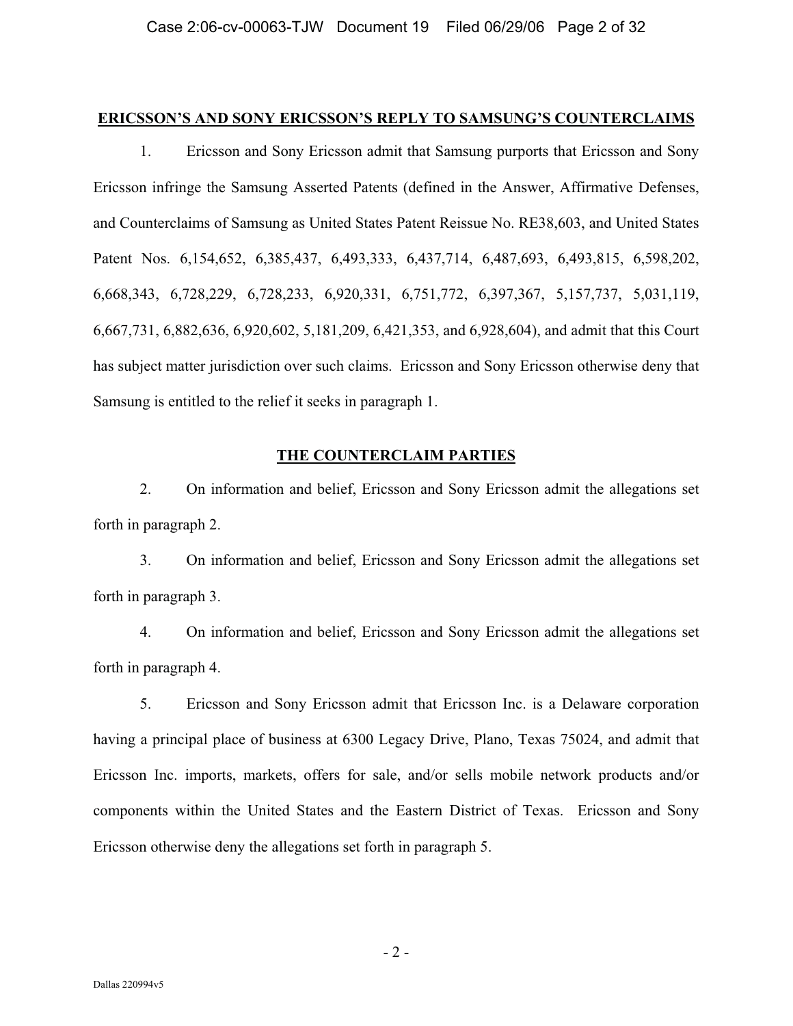#### **ERICSSON'S AND SONY ERICSSON'S REPLY TO SAMSUNG'S COUNTERCLAIMS**

1. Ericsson and Sony Ericsson admit that Samsung purports that Ericsson and Sony Ericsson infringe the Samsung Asserted Patents (defined in the Answer, Affirmative Defenses, and Counterclaims of Samsung as United States Patent Reissue No. RE38,603, and United States Patent Nos. 6,154,652, 6,385,437, 6,493,333, 6,437,714, 6,487,693, 6,493,815, 6,598,202, 6,668,343, 6,728,229, 6,728,233, 6,920,331, 6,751,772, 6,397,367, 5,157,737, 5,031,119, 6,667,731, 6,882,636, 6,920,602, 5,181,209, 6,421,353, and 6,928,604), and admit that this Court has subject matter jurisdiction over such claims. Ericsson and Sony Ericsson otherwise deny that Samsung is entitled to the relief it seeks in paragraph 1.

# **THE COUNTERCLAIM PARTIES**

2. On information and belief, Ericsson and Sony Ericsson admit the allegations set forth in paragraph 2.

3. On information and belief, Ericsson and Sony Ericsson admit the allegations set forth in paragraph 3.

4. On information and belief, Ericsson and Sony Ericsson admit the allegations set forth in paragraph 4.

5. Ericsson and Sony Ericsson admit that Ericsson Inc. is a Delaware corporation having a principal place of business at 6300 Legacy Drive, Plano, Texas 75024, and admit that Ericsson Inc. imports, markets, offers for sale, and/or sells mobile network products and/or components within the United States and the Eastern District of Texas. Ericsson and Sony Ericsson otherwise deny the allegations set forth in paragraph 5.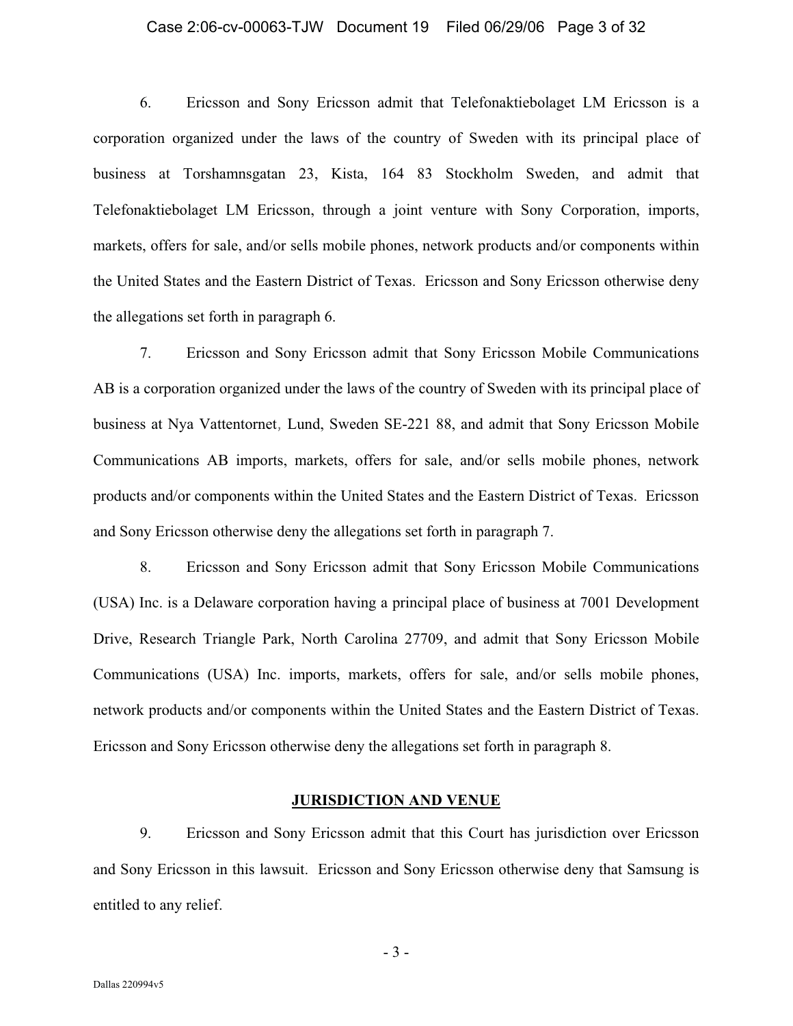#### Case 2:06-cv-00063-TJW Document 19 Filed 06/29/06 Page 3 of 32

6. Ericsson and Sony Ericsson admit that Telefonaktiebolaget LM Ericsson is a corporation organized under the laws of the country of Sweden with its principal place of business at Torshamnsgatan 23, Kista, 164 83 Stockholm Sweden, and admit that Telefonaktiebolaget LM Ericsson, through a joint venture with Sony Corporation, imports, markets, offers for sale, and/or sells mobile phones, network products and/or components within the United States and the Eastern District of Texas. Ericsson and Sony Ericsson otherwise deny the allegations set forth in paragraph 6.

7. Ericsson and Sony Ericsson admit that Sony Ericsson Mobile Communications AB is a corporation organized under the laws of the country of Sweden with its principal place of business at Nya Vattentornet, Lund, Sweden SE-221 88, and admit that Sony Ericsson Mobile Communications AB imports, markets, offers for sale, and/or sells mobile phones, network products and/or components within the United States and the Eastern District of Texas. Ericsson and Sony Ericsson otherwise deny the allegations set forth in paragraph 7.

8. Ericsson and Sony Ericsson admit that Sony Ericsson Mobile Communications (USA) Inc. is a Delaware corporation having a principal place of business at 7001 Development Drive, Research Triangle Park, North Carolina 27709, and admit that Sony Ericsson Mobile Communications (USA) Inc. imports, markets, offers for sale, and/or sells mobile phones, network products and/or components within the United States and the Eastern District of Texas. Ericsson and Sony Ericsson otherwise deny the allegations set forth in paragraph 8.

#### **JURISDICTION AND VENUE**

9. Ericsson and Sony Ericsson admit that this Court has jurisdiction over Ericsson and Sony Ericsson in this lawsuit. Ericsson and Sony Ericsson otherwise deny that Samsung is entitled to any relief.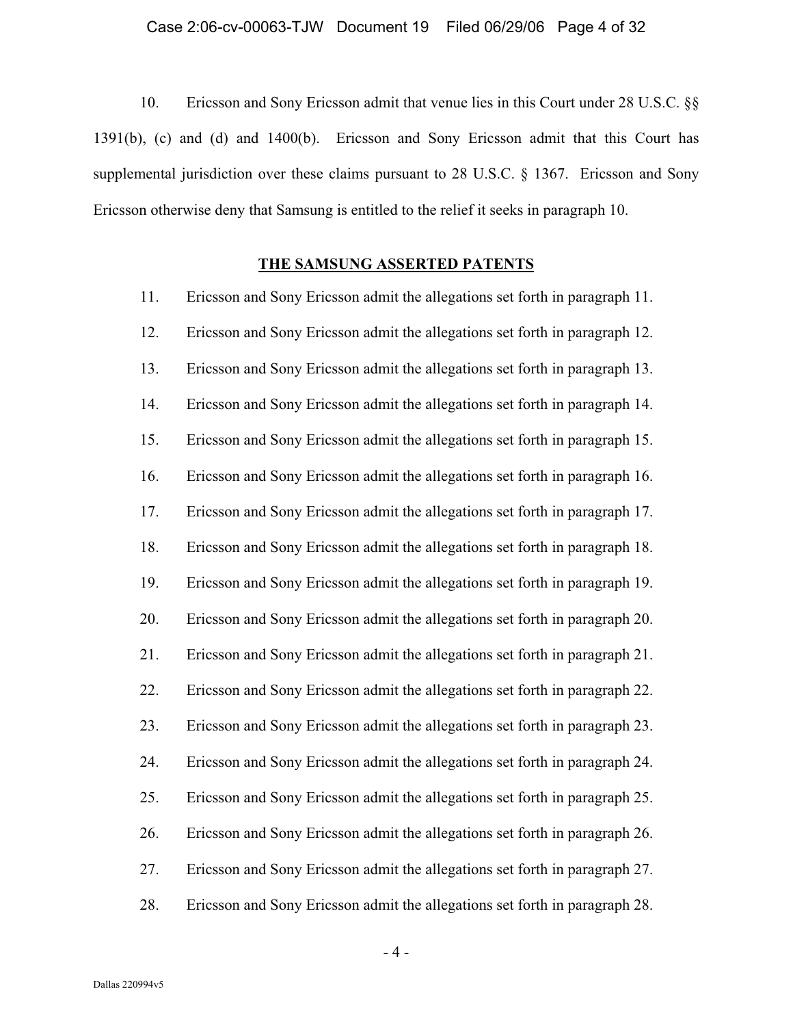# Case 2:06-cv-00063-TJW Document 19 Filed 06/29/06 Page 4 of 32

10. Ericsson and Sony Ericsson admit that venue lies in this Court under 28 U.S.C. §§ 1391(b), (c) and (d) and 1400(b). Ericsson and Sony Ericsson admit that this Court has supplemental jurisdiction over these claims pursuant to 28 U.S.C. § 1367. Ericsson and Sony Ericsson otherwise deny that Samsung is entitled to the relief it seeks in paragraph 10.

## **THE SAMSUNG ASSERTED PATENTS**

| 11. | Ericsson and Sony Ericsson admit the allegations set forth in paragraph 11. |
|-----|-----------------------------------------------------------------------------|
| 12. | Ericsson and Sony Ericsson admit the allegations set forth in paragraph 12. |
| 13. | Ericsson and Sony Ericsson admit the allegations set forth in paragraph 13. |
| 14. | Ericsson and Sony Ericsson admit the allegations set forth in paragraph 14. |
| 15. | Ericsson and Sony Ericsson admit the allegations set forth in paragraph 15. |
| 16. | Ericsson and Sony Ericsson admit the allegations set forth in paragraph 16. |
| 17. | Ericsson and Sony Ericsson admit the allegations set forth in paragraph 17. |
| 18. | Ericsson and Sony Ericsson admit the allegations set forth in paragraph 18. |
| 19. | Ericsson and Sony Ericsson admit the allegations set forth in paragraph 19. |
| 20. | Ericsson and Sony Ericsson admit the allegations set forth in paragraph 20. |
| 21. | Ericsson and Sony Ericsson admit the allegations set forth in paragraph 21. |
| 22. | Ericsson and Sony Ericsson admit the allegations set forth in paragraph 22. |
| 23. | Ericsson and Sony Ericsson admit the allegations set forth in paragraph 23. |
| 24. | Ericsson and Sony Ericsson admit the allegations set forth in paragraph 24. |
| 25. | Ericsson and Sony Ericsson admit the allegations set forth in paragraph 25. |
| 26. | Ericsson and Sony Ericsson admit the allegations set forth in paragraph 26. |
| 27. | Ericsson and Sony Ericsson admit the allegations set forth in paragraph 27. |
| 28. | Ericsson and Sony Ericsson admit the allegations set forth in paragraph 28. |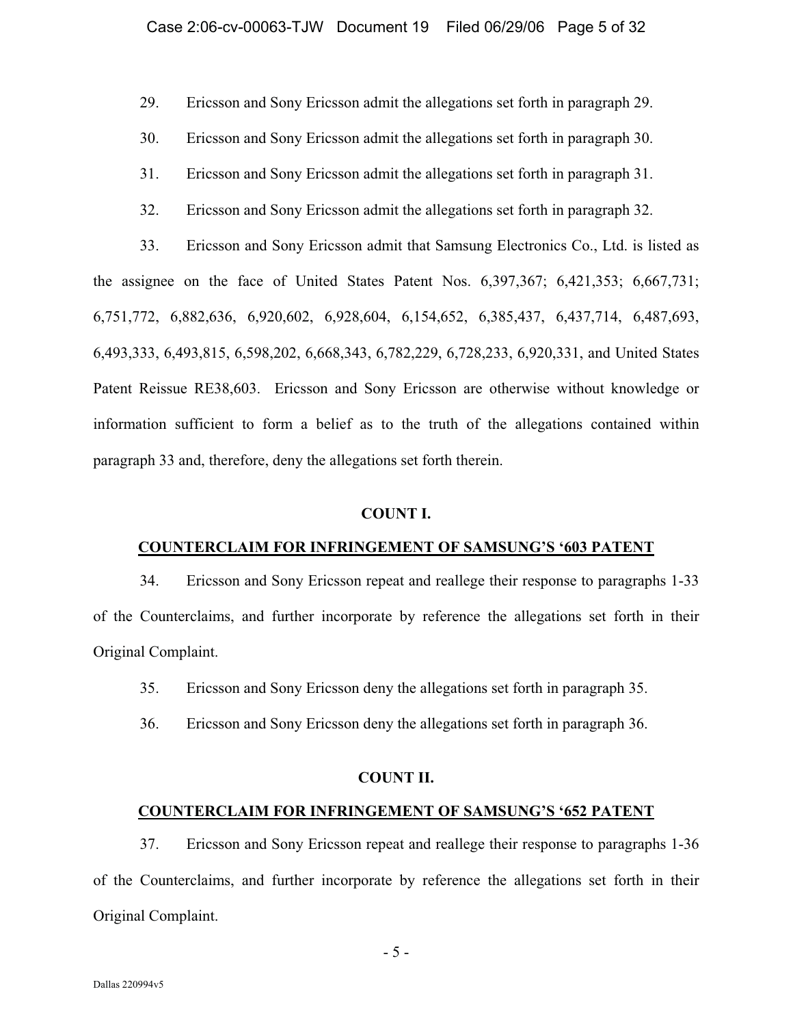29. Ericsson and Sony Ericsson admit the allegations set forth in paragraph 29.

- 30. Ericsson and Sony Ericsson admit the allegations set forth in paragraph 30.
- 31. Ericsson and Sony Ericsson admit the allegations set forth in paragraph 31.
- 32. Ericsson and Sony Ericsson admit the allegations set forth in paragraph 32.

33. Ericsson and Sony Ericsson admit that Samsung Electronics Co., Ltd. is listed as the assignee on the face of United States Patent Nos. 6,397,367; 6,421,353; 6,667,731; 6,751,772, 6,882,636, 6,920,602, 6,928,604, 6,154,652, 6,385,437, 6,437,714, 6,487,693, 6,493,333, 6,493,815, 6,598,202, 6,668,343, 6,782,229, 6,728,233, 6,920,331, and United States Patent Reissue RE38,603. Ericsson and Sony Ericsson are otherwise without knowledge or information sufficient to form a belief as to the truth of the allegations contained within paragraph 33 and, therefore, deny the allegations set forth therein.

#### **COUNT I.**

#### **COUNTERCLAIM FOR INFRINGEMENT OF SAMSUNG'S '603 PATENT**

34. Ericsson and Sony Ericsson repeat and reallege their response to paragraphs 1-33 of the Counterclaims, and further incorporate by reference the allegations set forth in their Original Complaint.

- 35. Ericsson and Sony Ericsson deny the allegations set forth in paragraph 35.
- 36. Ericsson and Sony Ericsson deny the allegations set forth in paragraph 36.

#### **COUNT II.**

#### **COUNTERCLAIM FOR INFRINGEMENT OF SAMSUNG'S '652 PATENT**

37. Ericsson and Sony Ericsson repeat and reallege their response to paragraphs 1-36 of the Counterclaims, and further incorporate by reference the allegations set forth in their Original Complaint.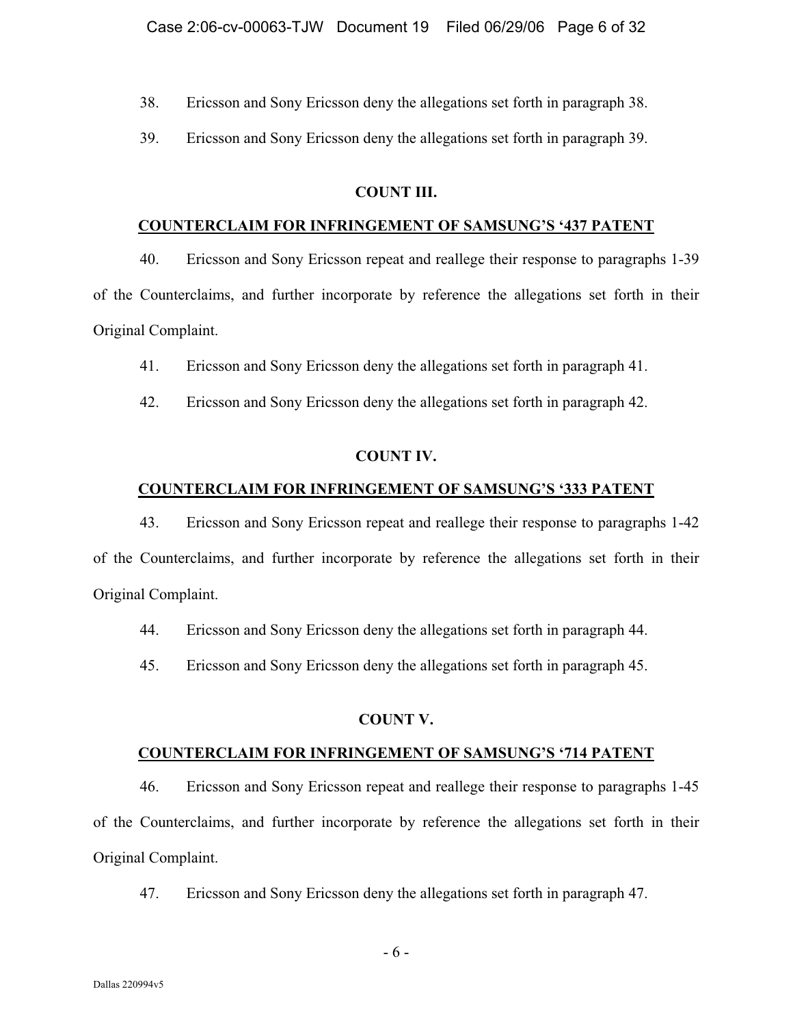38. Ericsson and Sony Ericsson deny the allegations set forth in paragraph 38.

39. Ericsson and Sony Ericsson deny the allegations set forth in paragraph 39.

#### **COUNT III.**

#### **COUNTERCLAIM FOR INFRINGEMENT OF SAMSUNG'S '437 PATENT**

40. Ericsson and Sony Ericsson repeat and reallege their response to paragraphs 1-39 of the Counterclaims, and further incorporate by reference the allegations set forth in their Original Complaint.

41. Ericsson and Sony Ericsson deny the allegations set forth in paragraph 41.

42. Ericsson and Sony Ericsson deny the allegations set forth in paragraph 42.

## **COUNT IV.**

#### **COUNTERCLAIM FOR INFRINGEMENT OF SAMSUNG'S '333 PATENT**

43. Ericsson and Sony Ericsson repeat and reallege their response to paragraphs 1-42 of the Counterclaims, and further incorporate by reference the allegations set forth in their Original Complaint.

44. Ericsson and Sony Ericsson deny the allegations set forth in paragraph 44.

45. Ericsson and Sony Ericsson deny the allegations set forth in paragraph 45.

## **COUNT V.**

## **COUNTERCLAIM FOR INFRINGEMENT OF SAMSUNG'S '714 PATENT**

46. Ericsson and Sony Ericsson repeat and reallege their response to paragraphs 1-45 of the Counterclaims, and further incorporate by reference the allegations set forth in their Original Complaint.

47. Ericsson and Sony Ericsson deny the allegations set forth in paragraph 47.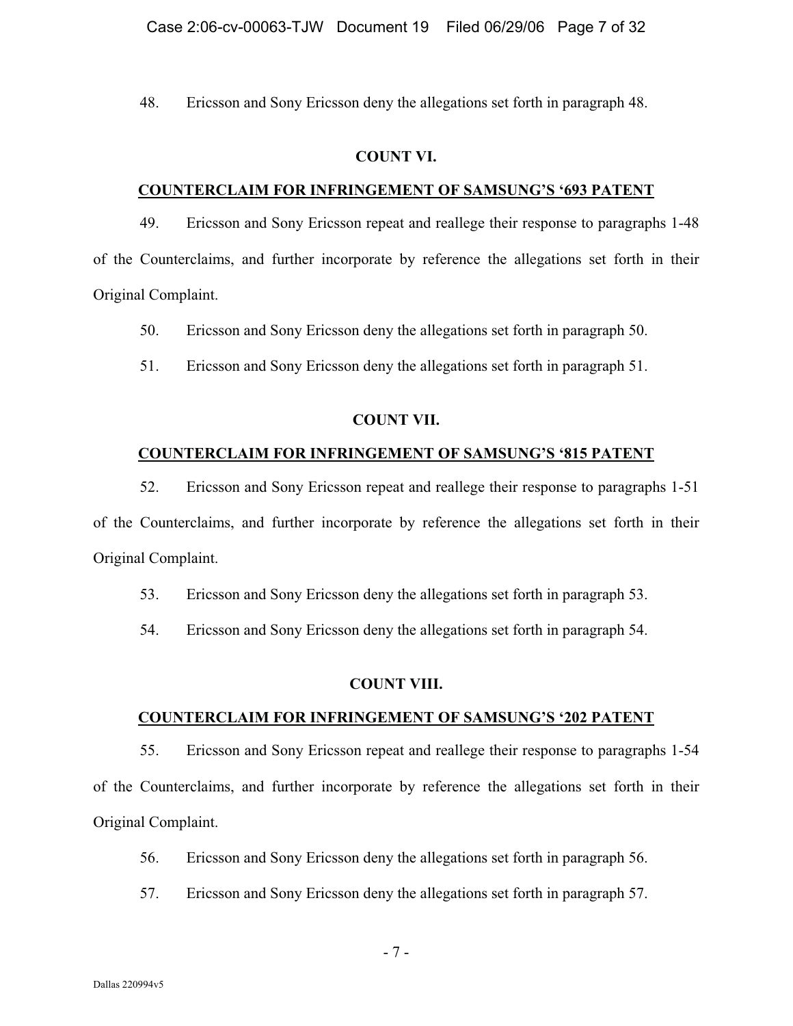48. Ericsson and Sony Ericsson deny the allegations set forth in paragraph 48.

#### **COUNT VI.**

## **COUNTERCLAIM FOR INFRINGEMENT OF SAMSUNG'S '693 PATENT**

49. Ericsson and Sony Ericsson repeat and reallege their response to paragraphs 1-48 of the Counterclaims, and further incorporate by reference the allegations set forth in their Original Complaint.

50. Ericsson and Sony Ericsson deny the allegations set forth in paragraph 50.

51. Ericsson and Sony Ericsson deny the allegations set forth in paragraph 51.

#### **COUNT VII.**

#### **COUNTERCLAIM FOR INFRINGEMENT OF SAMSUNG'S '815 PATENT**

52. Ericsson and Sony Ericsson repeat and reallege their response to paragraphs 1-51 of the Counterclaims, and further incorporate by reference the allegations set forth in their Original Complaint.

53. Ericsson and Sony Ericsson deny the allegations set forth in paragraph 53.

54. Ericsson and Sony Ericsson deny the allegations set forth in paragraph 54.

#### **COUNT VIII.**

#### **COUNTERCLAIM FOR INFRINGEMENT OF SAMSUNG'S '202 PATENT**

55. Ericsson and Sony Ericsson repeat and reallege their response to paragraphs 1-54 of the Counterclaims, and further incorporate by reference the allegations set forth in their Original Complaint.

- 56. Ericsson and Sony Ericsson deny the allegations set forth in paragraph 56.
- 57. Ericsson and Sony Ericsson deny the allegations set forth in paragraph 57.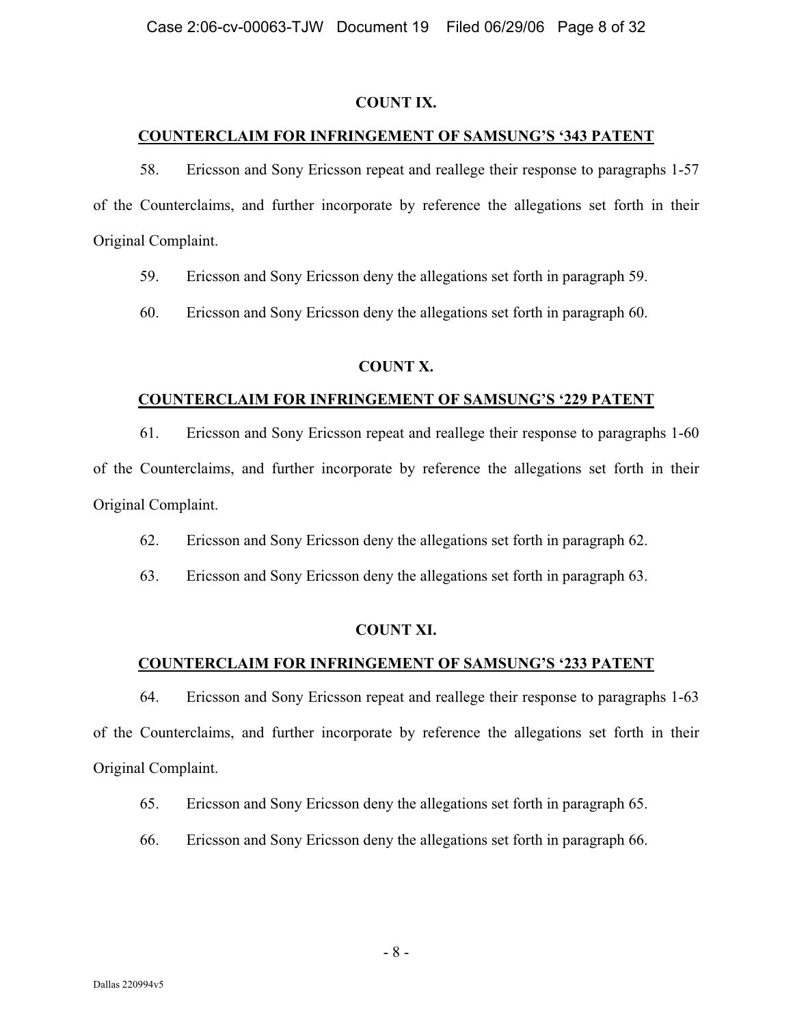#### **COUNT IX.**

#### **COUNTERCLAIM FOR INFRINGEMENT OF SAMSUNG'S '343 PATENT**

58. Ericsson and Sony Ericsson repeat and reallege their response to paragraphs 1-57 of the Counterclaims, and further incorporate by reference the allegations set forth in their Original Complaint.

59. Ericsson and Sony Ericsson deny the allegations set forth in paragraph 59.

60. Ericsson and Sony Ericsson deny the allegations set forth in paragraph 60.

## **COUNT X.**

#### **COUNTERCLAIM FOR INFRINGEMENT OF SAMSUNG'S '229 PATENT**

61. Ericsson and Sony Ericsson repeat and reallege their response to paragraphs 1-60 of the Counterclaims, and further incorporate by reference the allegations set forth in their

Original Complaint.

62. Ericsson and Sony Ericsson deny the allegations set forth in paragraph 62.

63. Ericsson and Sony Ericsson deny the allegations set forth in paragraph 63.

## **COUNT XI.**

## **COUNTERCLAIM FOR INFRINGEMENT OF SAMSUNG'S '233 PATENT**

64. Ericsson and Sony Ericsson repeat and reallege their response to paragraphs 1-63 of the Counterclaims, and further incorporate by reference the allegations set forth in their Original Complaint.

65. Ericsson and Sony Ericsson deny the allegations set forth in paragraph 65.

66. Ericsson and Sony Ericsson deny the allegations set forth in paragraph 66.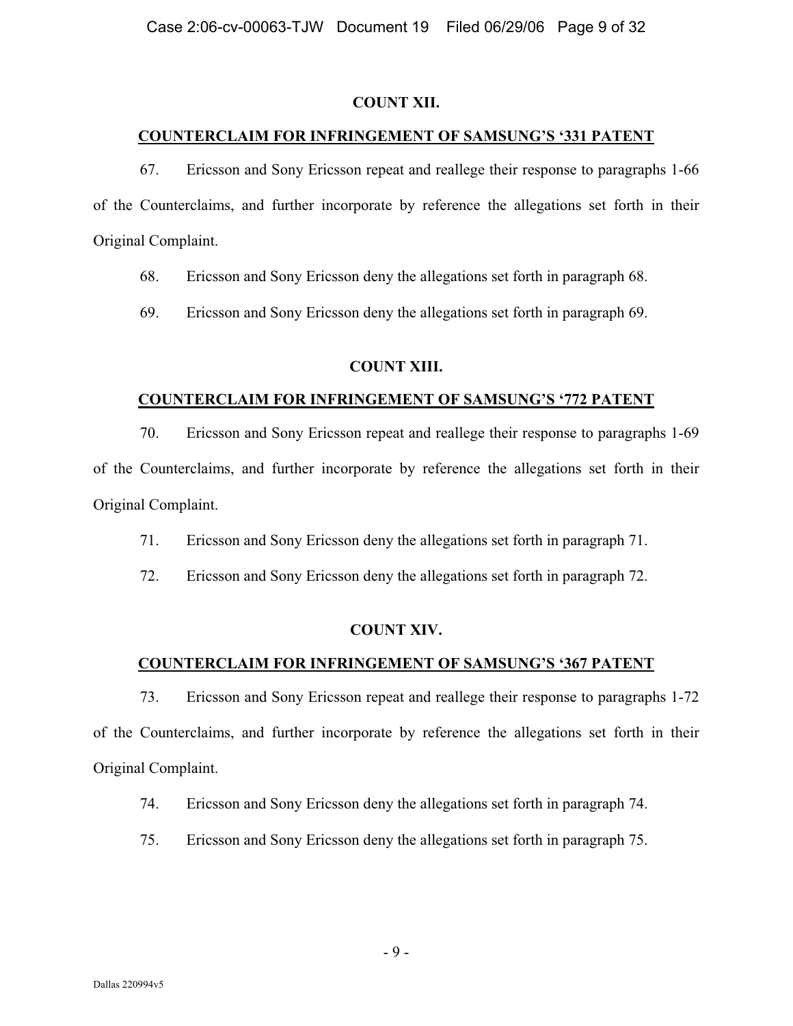## **COUNT XII.**

#### **COUNTERCLAIM FOR INFRINGEMENT OF SAMSUNG'S '331 PATENT**

67. Ericsson and Sony Ericsson repeat and reallege their response to paragraphs 1-66 of the Counterclaims, and further incorporate by reference the allegations set forth in their Original Complaint.

68. Ericsson and Sony Ericsson deny the allegations set forth in paragraph 68.

69. Ericsson and Sony Ericsson deny the allegations set forth in paragraph 69.

#### **COUNT XIII.**

#### **COUNTERCLAIM FOR INFRINGEMENT OF SAMSUNG'S '772 PATENT**

70. Ericsson and Sony Ericsson repeat and reallege their response to paragraphs 1-69 of the Counterclaims, and further incorporate by reference the allegations set forth in their Original Complaint.

71. Ericsson and Sony Ericsson deny the allegations set forth in paragraph 71.

72. Ericsson and Sony Ericsson deny the allegations set forth in paragraph 72.

## **COUNT XIV.**

## **COUNTERCLAIM FOR INFRINGEMENT OF SAMSUNG'S '367 PATENT**

73. Ericsson and Sony Ericsson repeat and reallege their response to paragraphs 1-72 of the Counterclaims, and further incorporate by reference the allegations set forth in their Original Complaint.

74. Ericsson and Sony Ericsson deny the allegations set forth in paragraph 74.

75. Ericsson and Sony Ericsson deny the allegations set forth in paragraph 75.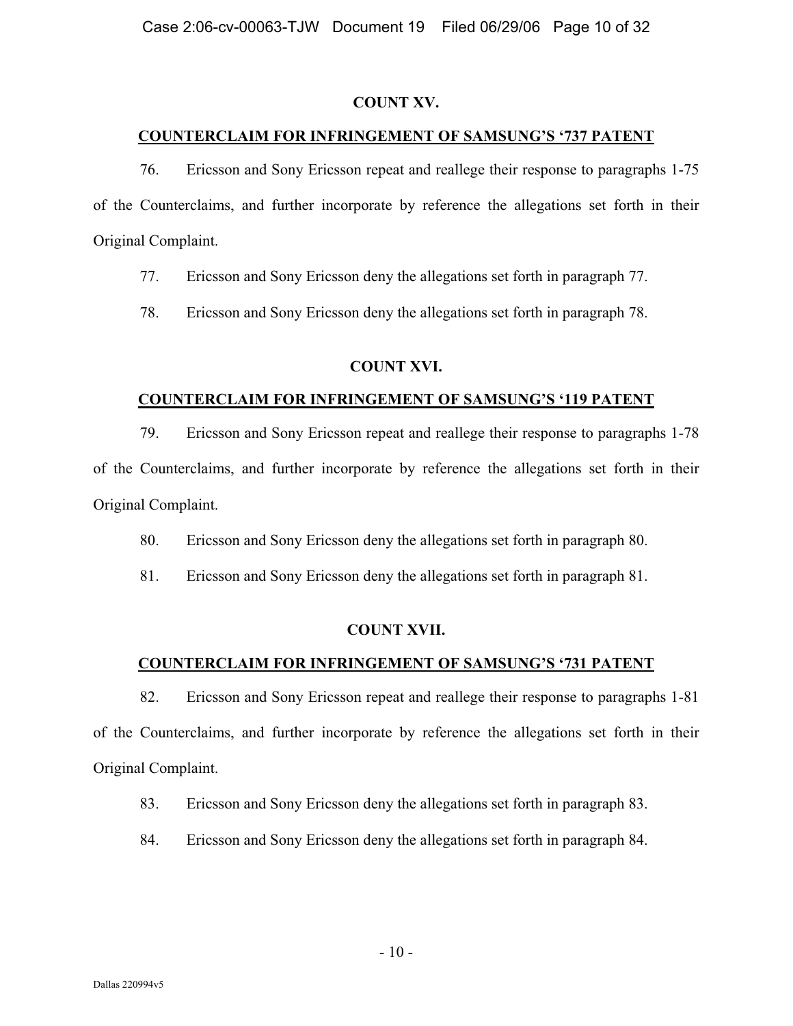## **COUNT XV.**

## **COUNTERCLAIM FOR INFRINGEMENT OF SAMSUNG'S '737 PATENT**

76. Ericsson and Sony Ericsson repeat and reallege their response to paragraphs 1-75 of the Counterclaims, and further incorporate by reference the allegations set forth in their Original Complaint.

77. Ericsson and Sony Ericsson deny the allegations set forth in paragraph 77.

78. Ericsson and Sony Ericsson deny the allegations set forth in paragraph 78.

# **COUNT XVI.**

# **COUNTERCLAIM FOR INFRINGEMENT OF SAMSUNG'S '119 PATENT**

79. Ericsson and Sony Ericsson repeat and reallege their response to paragraphs 1-78 of the Counterclaims, and further incorporate by reference the allegations set forth in their Original Complaint.

80. Ericsson and Sony Ericsson deny the allegations set forth in paragraph 80.

81. Ericsson and Sony Ericsson deny the allegations set forth in paragraph 81.

# **COUNT XVII.**

# **COUNTERCLAIM FOR INFRINGEMENT OF SAMSUNG'S '731 PATENT**

82. Ericsson and Sony Ericsson repeat and reallege their response to paragraphs 1-81 of the Counterclaims, and further incorporate by reference the allegations set forth in their Original Complaint.

83. Ericsson and Sony Ericsson deny the allegations set forth in paragraph 83.

84. Ericsson and Sony Ericsson deny the allegations set forth in paragraph 84.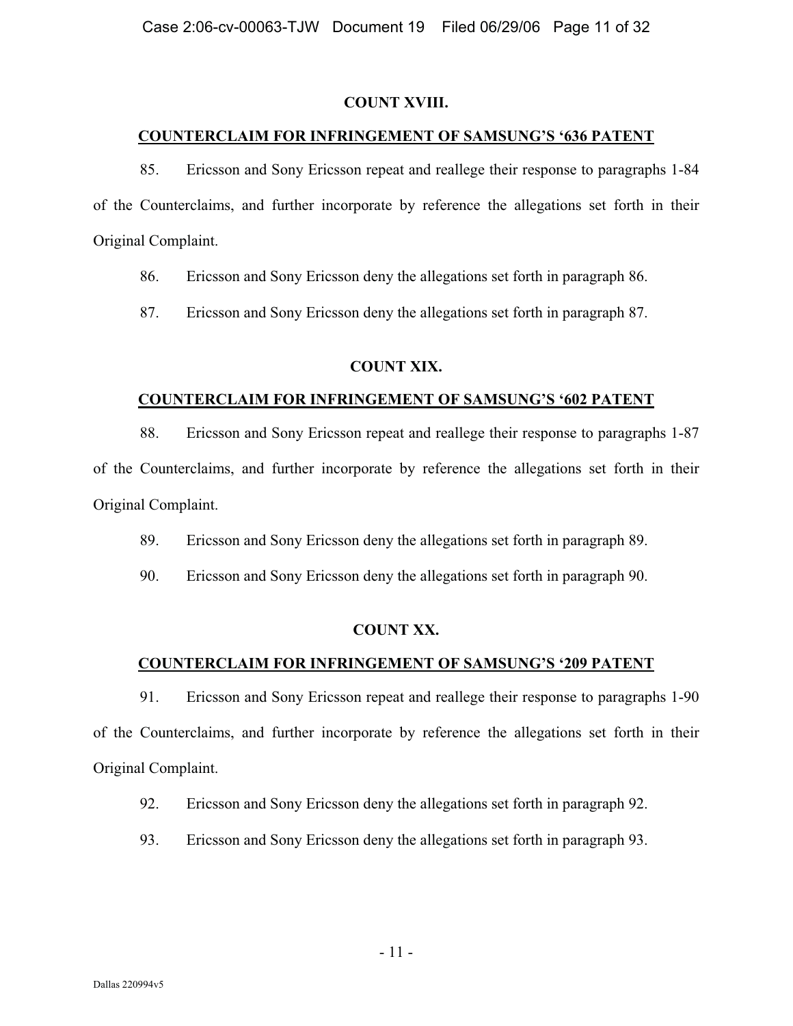## **COUNT XVIII.**

## **COUNTERCLAIM FOR INFRINGEMENT OF SAMSUNG'S '636 PATENT**

85. Ericsson and Sony Ericsson repeat and reallege their response to paragraphs 1-84 of the Counterclaims, and further incorporate by reference the allegations set forth in their Original Complaint.

86. Ericsson and Sony Ericsson deny the allegations set forth in paragraph 86.

87. Ericsson and Sony Ericsson deny the allegations set forth in paragraph 87.

# **COUNT XIX.**

## **COUNTERCLAIM FOR INFRINGEMENT OF SAMSUNG'S '602 PATENT**

88. Ericsson and Sony Ericsson repeat and reallege their response to paragraphs 1-87

of the Counterclaims, and further incorporate by reference the allegations set forth in their Original Complaint.

89. Ericsson and Sony Ericsson deny the allegations set forth in paragraph 89.

90. Ericsson and Sony Ericsson deny the allegations set forth in paragraph 90.

# **COUNT XX.**

# **COUNTERCLAIM FOR INFRINGEMENT OF SAMSUNG'S '209 PATENT**

91. Ericsson and Sony Ericsson repeat and reallege their response to paragraphs 1-90 of the Counterclaims, and further incorporate by reference the allegations set forth in their Original Complaint.

92. Ericsson and Sony Ericsson deny the allegations set forth in paragraph 92.

93. Ericsson and Sony Ericsson deny the allegations set forth in paragraph 93.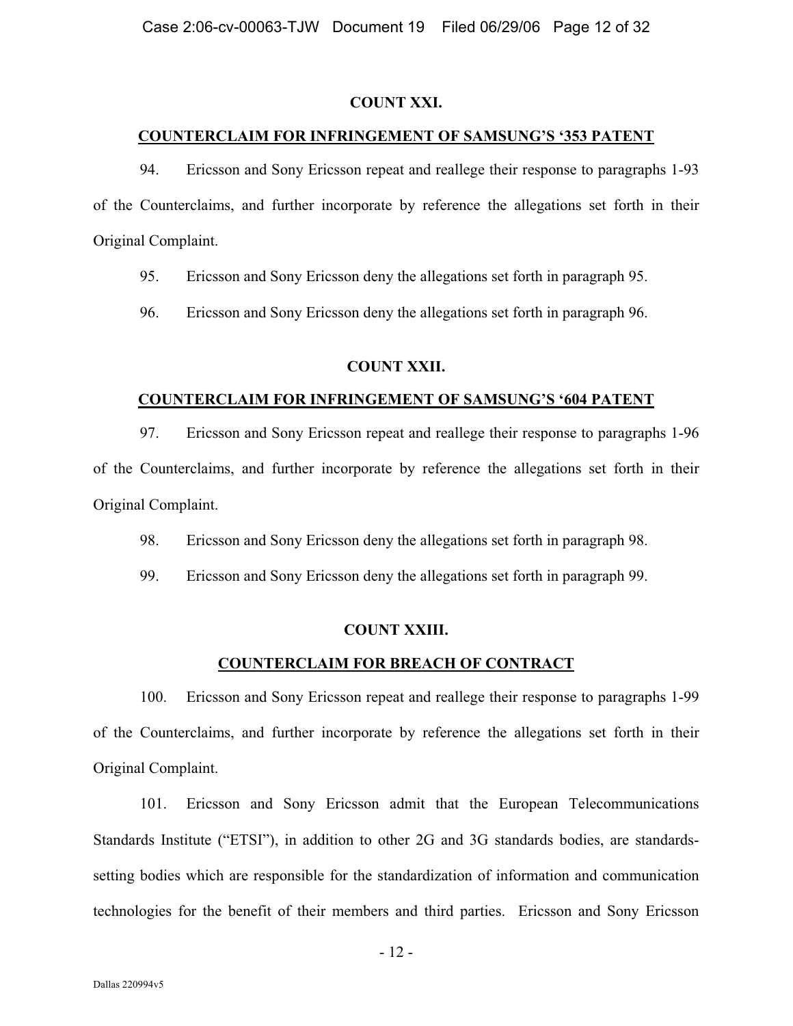#### **COUNT XXI.**

#### **COUNTERCLAIM FOR INFRINGEMENT OF SAMSUNG'S '353 PATENT**

94. Ericsson and Sony Ericsson repeat and reallege their response to paragraphs 1-93 of the Counterclaims, and further incorporate by reference the allegations set forth in their Original Complaint.

95. Ericsson and Sony Ericsson deny the allegations set forth in paragraph 95.

96. Ericsson and Sony Ericsson deny the allegations set forth in paragraph 96.

## **COUNT XXII.**

#### **COUNTERCLAIM FOR INFRINGEMENT OF SAMSUNG'S '604 PATENT**

97. Ericsson and Sony Ericsson repeat and reallege their response to paragraphs 1-96 of the Counterclaims, and further incorporate by reference the allegations set forth in their Original Complaint.

98. Ericsson and Sony Ericsson deny the allegations set forth in paragraph 98.

99. Ericsson and Sony Ericsson deny the allegations set forth in paragraph 99.

#### **COUNT XXIII.**

#### **COUNTERCLAIM FOR BREACH OF CONTRACT**

100. Ericsson and Sony Ericsson repeat and reallege their response to paragraphs 1-99 of the Counterclaims, and further incorporate by reference the allegations set forth in their Original Complaint.

101. Ericsson and Sony Ericsson admit that the European Telecommunications Standards Institute ("ETSI"), in addition to other 2G and 3G standards bodies, are standardssetting bodies which are responsible for the standardization of information and communication technologies for the benefit of their members and third parties. Ericsson and Sony Ericsson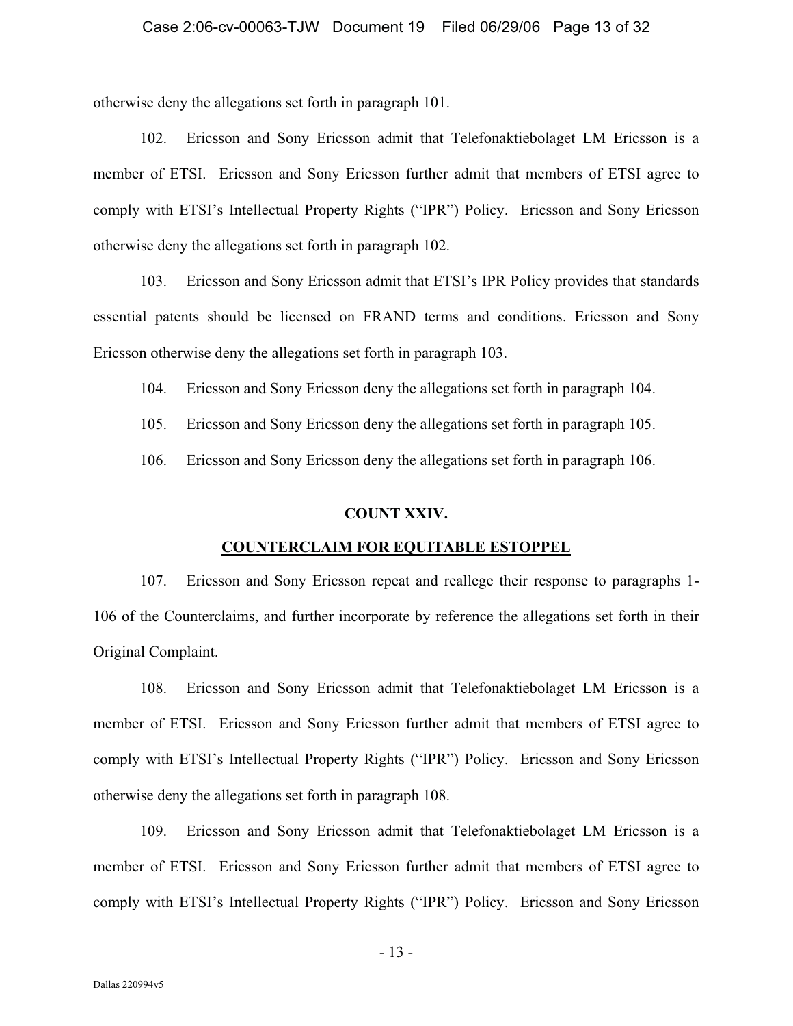otherwise deny the allegations set forth in paragraph 101.

102. Ericsson and Sony Ericsson admit that Telefonaktiebolaget LM Ericsson is a member of ETSI. Ericsson and Sony Ericsson further admit that members of ETSI agree to comply with ETSI's Intellectual Property Rights ("IPR") Policy. Ericsson and Sony Ericsson otherwise deny the allegations set forth in paragraph 102.

103. Ericsson and Sony Ericsson admit that ETSI's IPR Policy provides that standards essential patents should be licensed on FRAND terms and conditions. Ericsson and Sony Ericsson otherwise deny the allegations set forth in paragraph 103.

104. Ericsson and Sony Ericsson deny the allegations set forth in paragraph 104.

105. Ericsson and Sony Ericsson deny the allegations set forth in paragraph 105.

106. Ericsson and Sony Ericsson deny the allegations set forth in paragraph 106.

#### **COUNT XXIV.**

#### **COUNTERCLAIM FOR EQUITABLE ESTOPPEL**

107. Ericsson and Sony Ericsson repeat and reallege their response to paragraphs 1- 106 of the Counterclaims, and further incorporate by reference the allegations set forth in their Original Complaint.

108. Ericsson and Sony Ericsson admit that Telefonaktiebolaget LM Ericsson is a member of ETSI. Ericsson and Sony Ericsson further admit that members of ETSI agree to comply with ETSI's Intellectual Property Rights ("IPR") Policy. Ericsson and Sony Ericsson otherwise deny the allegations set forth in paragraph 108.

109. Ericsson and Sony Ericsson admit that Telefonaktiebolaget LM Ericsson is a member of ETSI. Ericsson and Sony Ericsson further admit that members of ETSI agree to comply with ETSI's Intellectual Property Rights ("IPR") Policy. Ericsson and Sony Ericsson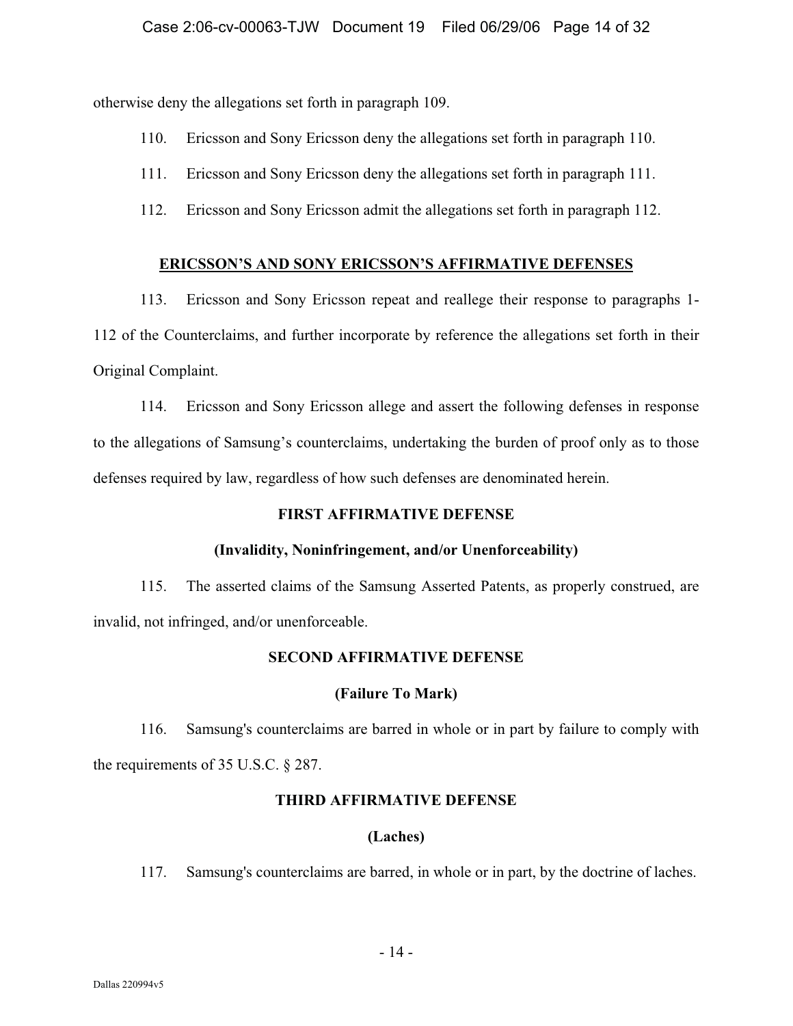otherwise deny the allegations set forth in paragraph 109.

- 110. Ericsson and Sony Ericsson deny the allegations set forth in paragraph 110.
- 111. Ericsson and Sony Ericsson deny the allegations set forth in paragraph 111.
- 112. Ericsson and Sony Ericsson admit the allegations set forth in paragraph 112.

## **ERICSSON'S AND SONY ERICSSON'S AFFIRMATIVE DEFENSES**

113. Ericsson and Sony Ericsson repeat and reallege their response to paragraphs 1- 112 of the Counterclaims, and further incorporate by reference the allegations set forth in their Original Complaint.

114. Ericsson and Sony Ericsson allege and assert the following defenses in response to the allegations of Samsung's counterclaims, undertaking the burden of proof only as to those defenses required by law, regardless of how such defenses are denominated herein.

## **FIRST AFFIRMATIVE DEFENSE**

# **(Invalidity, Noninfringement, and/or Unenforceability)**

115. The asserted claims of the Samsung Asserted Patents, as properly construed, are invalid, not infringed, and/or unenforceable.

## **SECOND AFFIRMATIVE DEFENSE**

## **(Failure To Mark)**

116. Samsung's counterclaims are barred in whole or in part by failure to comply with the requirements of 35 U.S.C. § 287.

## **THIRD AFFIRMATIVE DEFENSE**

# **(Laches)**

117. Samsung's counterclaims are barred, in whole or in part, by the doctrine of laches.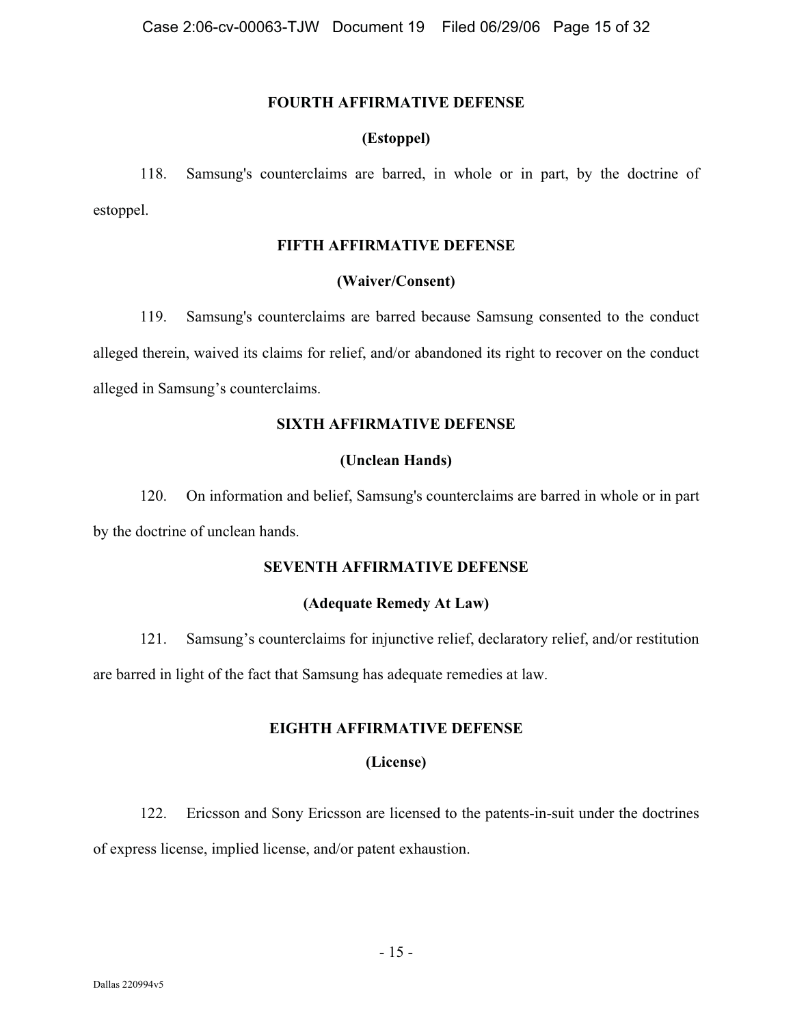#### **FOURTH AFFIRMATIVE DEFENSE**

## **(Estoppel)**

118. Samsung's counterclaims are barred, in whole or in part, by the doctrine of estoppel.

## **FIFTH AFFIRMATIVE DEFENSE**

## **(Waiver/Consent)**

119. Samsung's counterclaims are barred because Samsung consented to the conduct alleged therein, waived its claims for relief, and/or abandoned its right to recover on the conduct alleged in Samsung's counterclaims.

# **SIXTH AFFIRMATIVE DEFENSE**

# **(Unclean Hands)**

120. On information and belief, Samsung's counterclaims are barred in whole or in part by the doctrine of unclean hands.

# **SEVENTH AFFIRMATIVE DEFENSE**

# **(Adequate Remedy At Law)**

121. Samsung's counterclaims for injunctive relief, declaratory relief, and/or restitution are barred in light of the fact that Samsung has adequate remedies at law.

# **EIGHTH AFFIRMATIVE DEFENSE**

## **(License)**

122. Ericsson and Sony Ericsson are licensed to the patents-in-suit under the doctrines of express license, implied license, and/or patent exhaustion.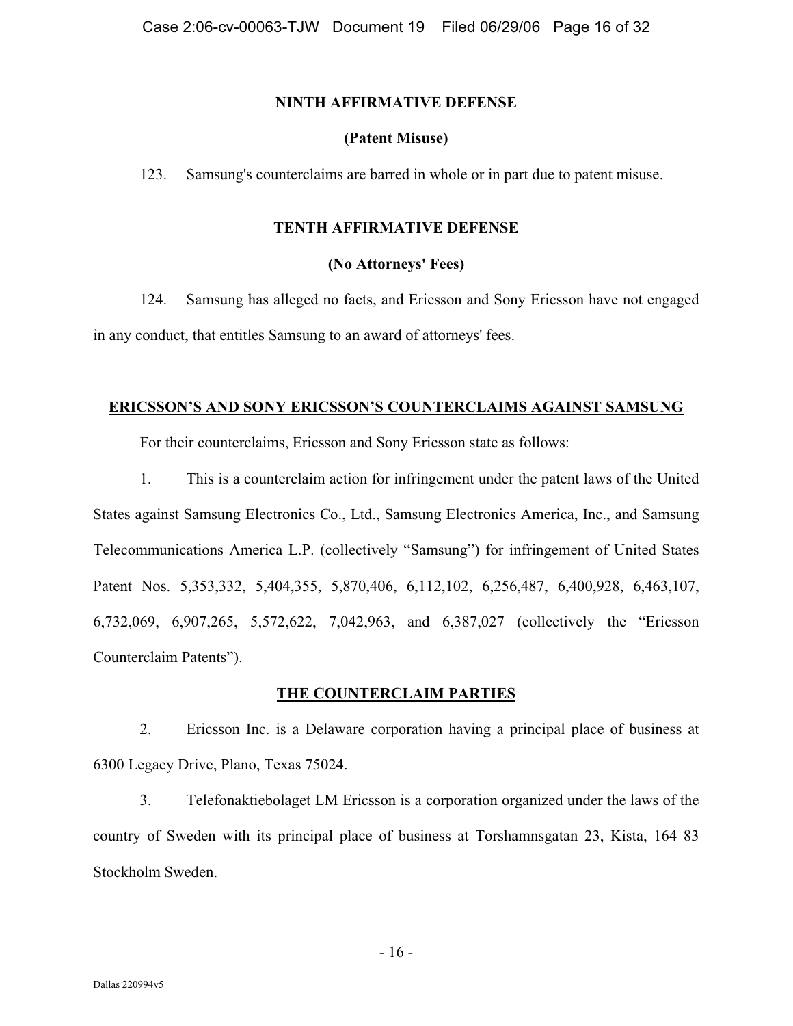#### **NINTH AFFIRMATIVE DEFENSE**

## **(Patent Misuse)**

123. Samsung's counterclaims are barred in whole or in part due to patent misuse.

## **TENTH AFFIRMATIVE DEFENSE**

## **(No Attorneys' Fees)**

124. Samsung has alleged no facts, and Ericsson and Sony Ericsson have not engaged in any conduct, that entitles Samsung to an award of attorneys' fees.

## **ERICSSON'S AND SONY ERICSSON'S COUNTERCLAIMS AGAINST SAMSUNG**

For their counterclaims, Ericsson and Sony Ericsson state as follows:

1. This is a counterclaim action for infringement under the patent laws of the United States against Samsung Electronics Co., Ltd., Samsung Electronics America, Inc., and Samsung Telecommunications America L.P. (collectively "Samsung") for infringement of United States Patent Nos. 5,353,332, 5,404,355, 5,870,406, 6,112,102, 6,256,487, 6,400,928, 6,463,107, 6,732,069, 6,907,265, 5,572,622, 7,042,963, and 6,387,027 (collectively the "Ericsson Counterclaim Patents").

## **THE COUNTERCLAIM PARTIES**

2. Ericsson Inc. is a Delaware corporation having a principal place of business at 6300 Legacy Drive, Plano, Texas 75024.

3. Telefonaktiebolaget LM Ericsson is a corporation organized under the laws of the country of Sweden with its principal place of business at Torshamnsgatan 23, Kista, 164 83 Stockholm Sweden.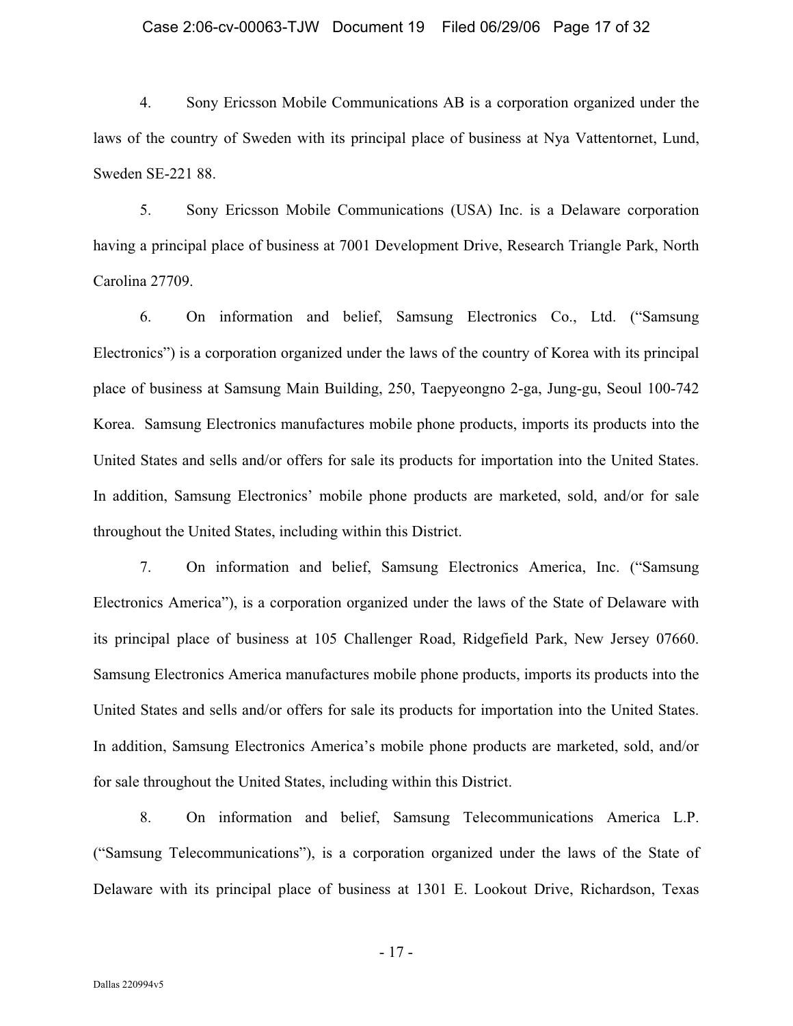#### Case 2:06-cv-00063-TJW Document 19 Filed 06/29/06 Page 17 of 32

4. Sony Ericsson Mobile Communications AB is a corporation organized under the laws of the country of Sweden with its principal place of business at Nya Vattentornet, Lund, Sweden SE-221 88.

5. Sony Ericsson Mobile Communications (USA) Inc. is a Delaware corporation having a principal place of business at 7001 Development Drive, Research Triangle Park, North Carolina 27709.

6. On information and belief, Samsung Electronics Co., Ltd. ("Samsung Electronics") is a corporation organized under the laws of the country of Korea with its principal place of business at Samsung Main Building, 250, Taepyeongno 2-ga, Jung-gu, Seoul 100-742 Korea. Samsung Electronics manufactures mobile phone products, imports its products into the United States and sells and/or offers for sale its products for importation into the United States. In addition, Samsung Electronics' mobile phone products are marketed, sold, and/or for sale throughout the United States, including within this District.

7. On information and belief, Samsung Electronics America, Inc. ("Samsung Electronics America"), is a corporation organized under the laws of the State of Delaware with its principal place of business at 105 Challenger Road, Ridgefield Park, New Jersey 07660. Samsung Electronics America manufactures mobile phone products, imports its products into the United States and sells and/or offers for sale its products for importation into the United States. In addition, Samsung Electronics America's mobile phone products are marketed, sold, and/or for sale throughout the United States, including within this District.

8. On information and belief, Samsung Telecommunications America L.P. ("Samsung Telecommunications"), is a corporation organized under the laws of the State of Delaware with its principal place of business at 1301 E. Lookout Drive, Richardson, Texas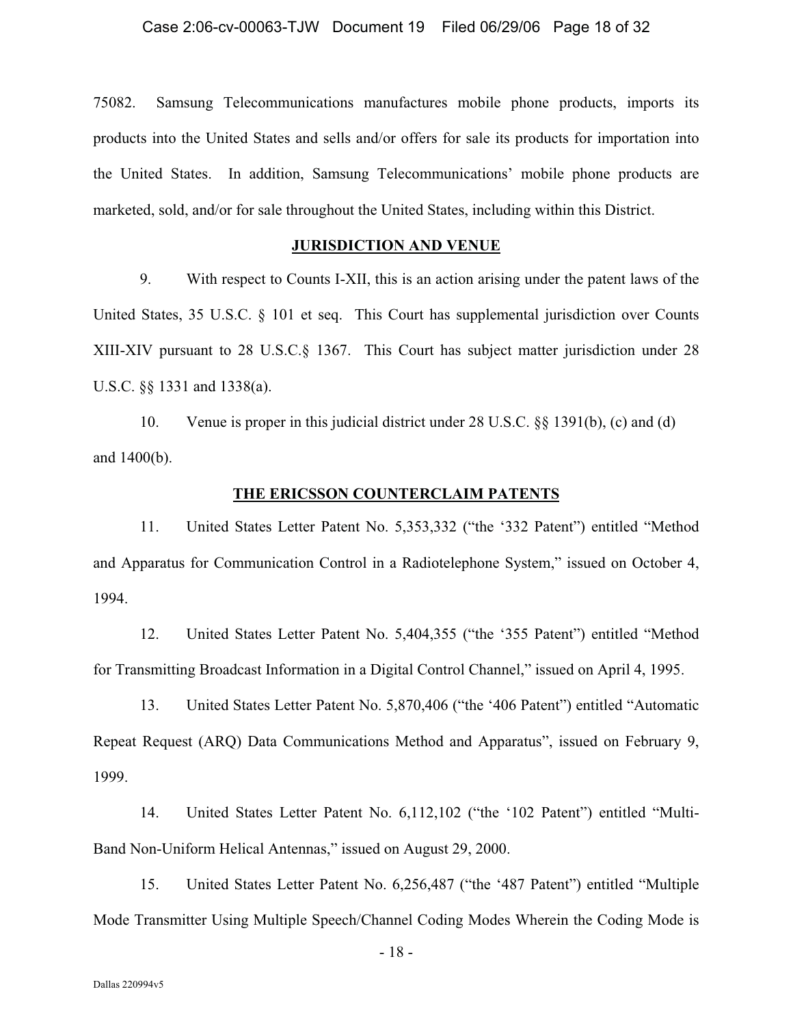75082. Samsung Telecommunications manufactures mobile phone products, imports its products into the United States and sells and/or offers for sale its products for importation into the United States. In addition, Samsung Telecommunications' mobile phone products are marketed, sold, and/or for sale throughout the United States, including within this District.

#### **JURISDICTION AND VENUE**

9. With respect to Counts I-XII, this is an action arising under the patent laws of the United States, 35 U.S.C. § 101 et seq. This Court has supplemental jurisdiction over Counts XIII-XIV pursuant to 28 U.S.C.§ 1367. This Court has subject matter jurisdiction under 28 U.S.C. §§ 1331 and 1338(a).

10. Venue is proper in this judicial district under 28 U.S.C. §§ 1391(b), (c) and (d) and 1400(b).

#### **THE ERICSSON COUNTERCLAIM PATENTS**

11. United States Letter Patent No. 5,353,332 ("the '332 Patent") entitled "Method and Apparatus for Communication Control in a Radiotelephone System," issued on October 4, 1994.

12. United States Letter Patent No. 5,404,355 ("the '355 Patent") entitled "Method for Transmitting Broadcast Information in a Digital Control Channel," issued on April 4, 1995.

13. United States Letter Patent No. 5,870,406 ("the '406 Patent") entitled "Automatic Repeat Request (ARQ) Data Communications Method and Apparatus", issued on February 9, 1999.

14. United States Letter Patent No. 6,112,102 ("the '102 Patent") entitled "Multi-Band Non-Uniform Helical Antennas," issued on August 29, 2000.

15. United States Letter Patent No. 6,256,487 ("the '487 Patent") entitled "Multiple Mode Transmitter Using Multiple Speech/Channel Coding Modes Wherein the Coding Mode is

 $-18-$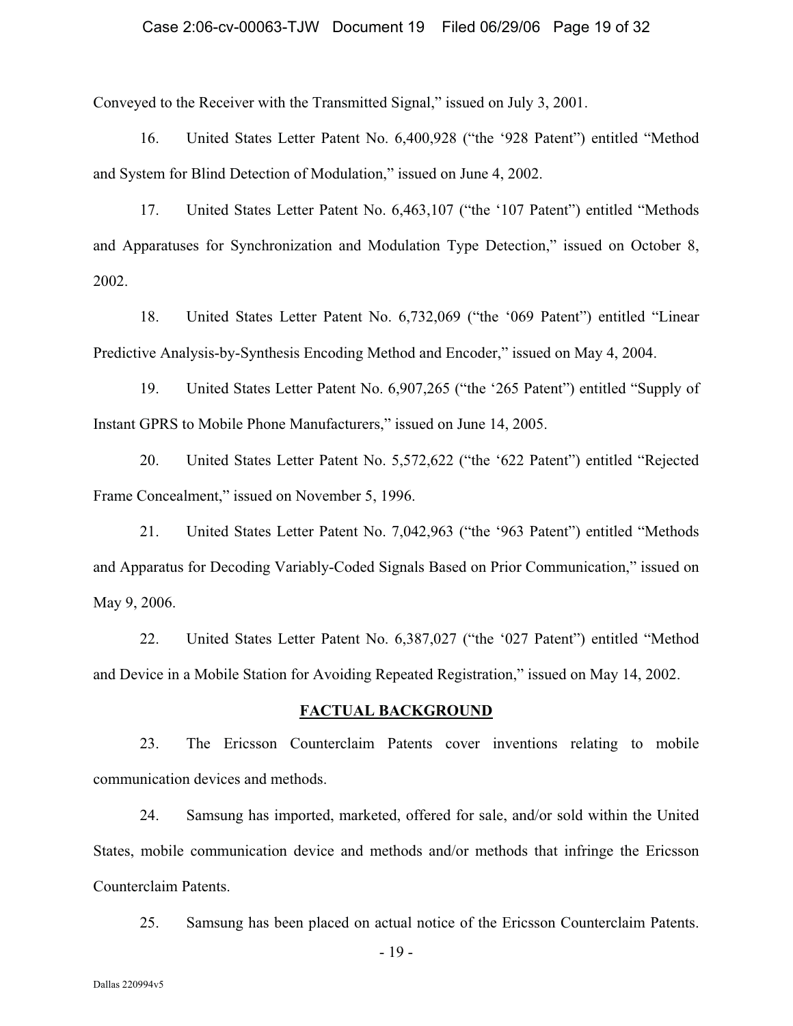#### Case 2:06-cv-00063-TJW Document 19 Filed 06/29/06 Page 19 of 32

Conveyed to the Receiver with the Transmitted Signal," issued on July 3, 2001.

16. United States Letter Patent No. 6,400,928 ("the '928 Patent") entitled "Method and System for Blind Detection of Modulation," issued on June 4, 2002.

17. United States Letter Patent No. 6,463,107 ("the '107 Patent") entitled "Methods and Apparatuses for Synchronization and Modulation Type Detection," issued on October 8, 2002.

18. United States Letter Patent No. 6,732,069 ("the '069 Patent") entitled "Linear Predictive Analysis-by-Synthesis Encoding Method and Encoder," issued on May 4, 2004.

19. United States Letter Patent No. 6,907,265 ("the '265 Patent") entitled "Supply of Instant GPRS to Mobile Phone Manufacturers," issued on June 14, 2005.

20. United States Letter Patent No. 5,572,622 ("the '622 Patent") entitled "Rejected Frame Concealment," issued on November 5, 1996.

21. United States Letter Patent No. 7,042,963 ("the '963 Patent") entitled "Methods and Apparatus for Decoding Variably-Coded Signals Based on Prior Communication," issued on May 9, 2006.

22. United States Letter Patent No. 6,387,027 ("the '027 Patent") entitled "Method and Device in a Mobile Station for Avoiding Repeated Registration," issued on May 14, 2002.

#### **FACTUAL BACKGROUND**

23. The Ericsson Counterclaim Patents cover inventions relating to mobile communication devices and methods.

24. Samsung has imported, marketed, offered for sale, and/or sold within the United States, mobile communication device and methods and/or methods that infringe the Ericsson Counterclaim Patents.

25. Samsung has been placed on actual notice of the Ericsson Counterclaim Patents.

 $-19$  -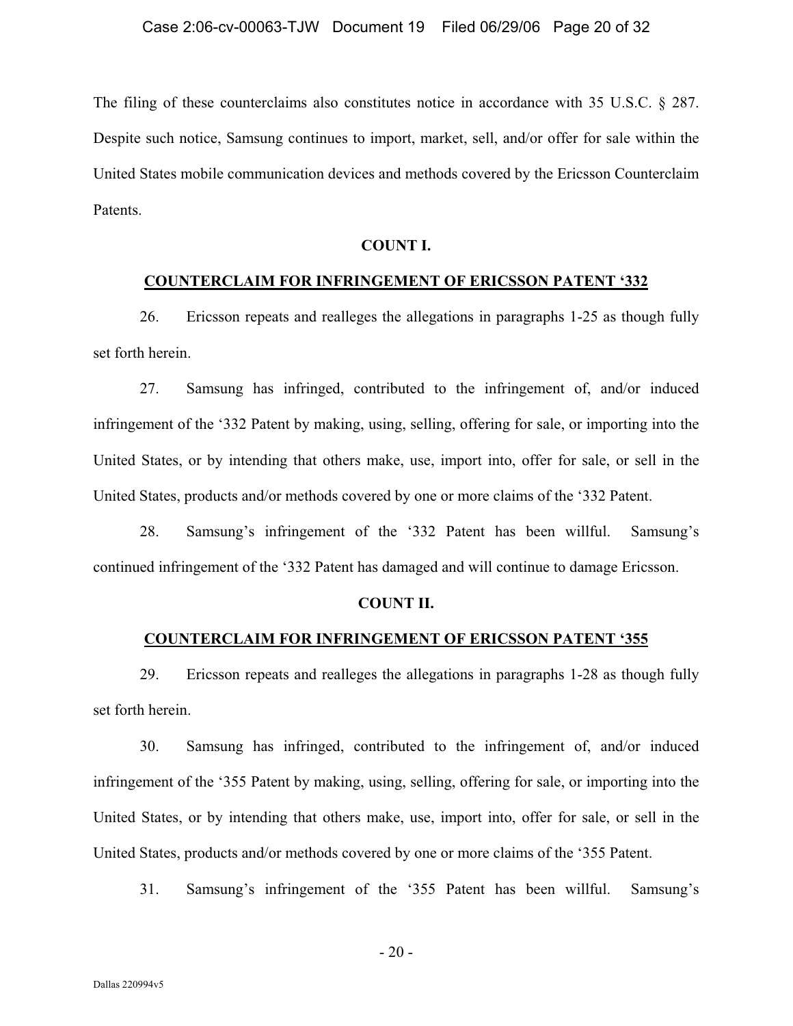The filing of these counterclaims also constitutes notice in accordance with 35 U.S.C. § 287. Despite such notice, Samsung continues to import, market, sell, and/or offer for sale within the United States mobile communication devices and methods covered by the Ericsson Counterclaim Patents.

#### **COUNT I.**

#### **COUNTERCLAIM FOR INFRINGEMENT OF ERICSSON PATENT '332**

26. Ericsson repeats and realleges the allegations in paragraphs 1-25 as though fully set forth herein.

27. Samsung has infringed, contributed to the infringement of, and/or induced infringement of the '332 Patent by making, using, selling, offering for sale, or importing into the United States, or by intending that others make, use, import into, offer for sale, or sell in the United States, products and/or methods covered by one or more claims of the '332 Patent.

28. Samsung's infringement of the '332 Patent has been willful. Samsung's continued infringement of the '332 Patent has damaged and will continue to damage Ericsson.

#### **COUNT II.**

#### **COUNTERCLAIM FOR INFRINGEMENT OF ERICSSON PATENT '355**

29. Ericsson repeats and realleges the allegations in paragraphs 1-28 as though fully set forth herein.

30. Samsung has infringed, contributed to the infringement of, and/or induced infringement of the '355 Patent by making, using, selling, offering for sale, or importing into the United States, or by intending that others make, use, import into, offer for sale, or sell in the United States, products and/or methods covered by one or more claims of the '355 Patent.

31. Samsung's infringement of the '355 Patent has been willful. Samsung's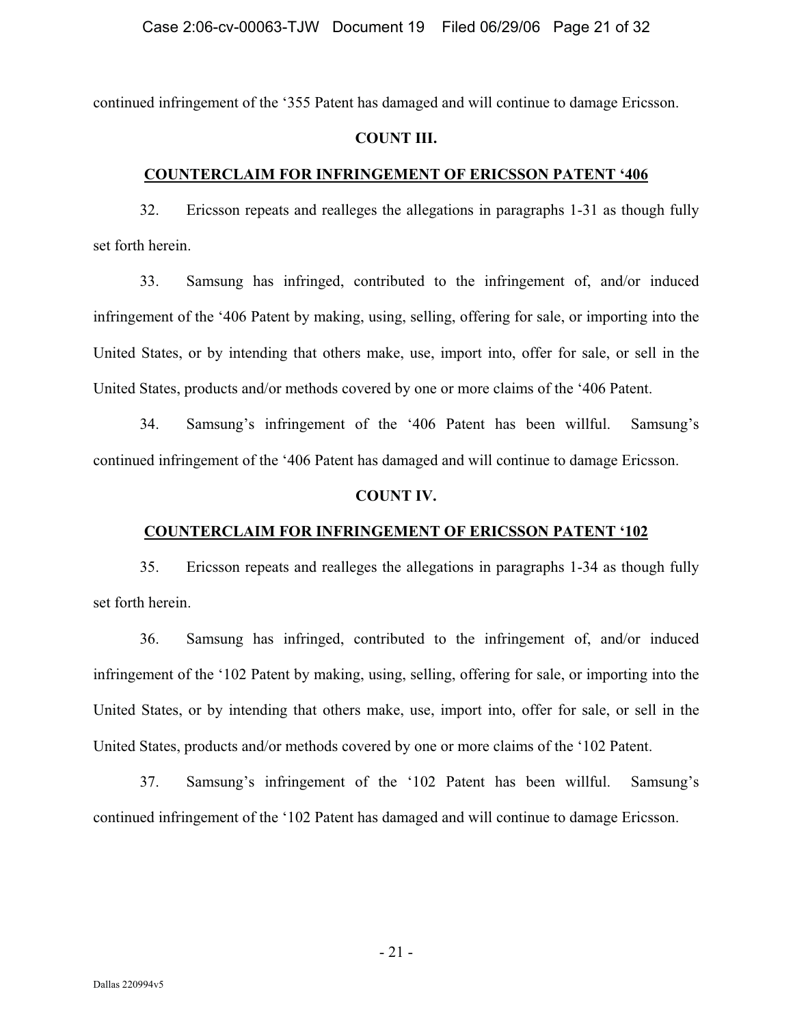continued infringement of the '355 Patent has damaged and will continue to damage Ericsson.

#### **COUNT III.**

#### **COUNTERCLAIM FOR INFRINGEMENT OF ERICSSON PATENT '406**

32. Ericsson repeats and realleges the allegations in paragraphs 1-31 as though fully set forth herein.

33. Samsung has infringed, contributed to the infringement of, and/or induced infringement of the '406 Patent by making, using, selling, offering for sale, or importing into the United States, or by intending that others make, use, import into, offer for sale, or sell in the United States, products and/or methods covered by one or more claims of the '406 Patent.

34. Samsung's infringement of the '406 Patent has been willful. Samsung's continued infringement of the '406 Patent has damaged and will continue to damage Ericsson.

#### **COUNT IV.**

## **COUNTERCLAIM FOR INFRINGEMENT OF ERICSSON PATENT '102**

35. Ericsson repeats and realleges the allegations in paragraphs 1-34 as though fully set forth herein.

36. Samsung has infringed, contributed to the infringement of, and/or induced infringement of the '102 Patent by making, using, selling, offering for sale, or importing into the United States, or by intending that others make, use, import into, offer for sale, or sell in the United States, products and/or methods covered by one or more claims of the '102 Patent.

37. Samsung's infringement of the '102 Patent has been willful. Samsung's continued infringement of the '102 Patent has damaged and will continue to damage Ericsson.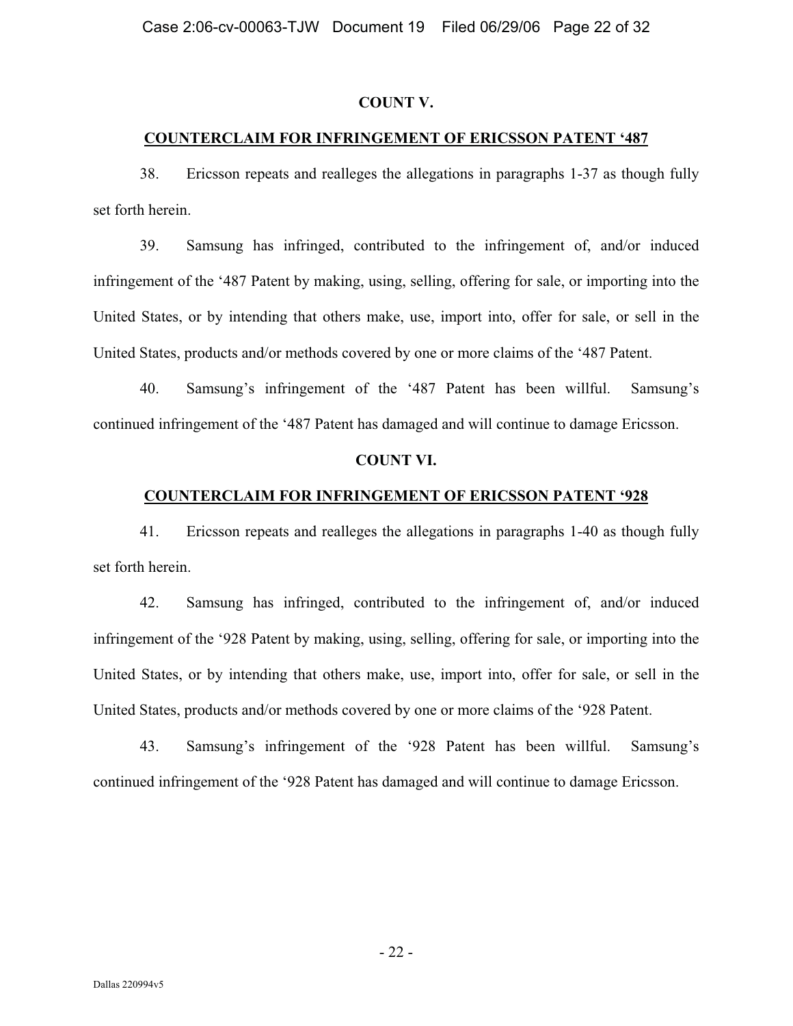#### **COUNT V.**

## **COUNTERCLAIM FOR INFRINGEMENT OF ERICSSON PATENT '487**

38. Ericsson repeats and realleges the allegations in paragraphs 1-37 as though fully set forth herein.

39. Samsung has infringed, contributed to the infringement of, and/or induced infringement of the '487 Patent by making, using, selling, offering for sale, or importing into the United States, or by intending that others make, use, import into, offer for sale, or sell in the United States, products and/or methods covered by one or more claims of the '487 Patent.

40. Samsung's infringement of the '487 Patent has been willful. Samsung's continued infringement of the '487 Patent has damaged and will continue to damage Ericsson.

#### **COUNT VI.**

#### **COUNTERCLAIM FOR INFRINGEMENT OF ERICSSON PATENT '928**

41. Ericsson repeats and realleges the allegations in paragraphs 1-40 as though fully set forth herein.

42. Samsung has infringed, contributed to the infringement of, and/or induced infringement of the '928 Patent by making, using, selling, offering for sale, or importing into the United States, or by intending that others make, use, import into, offer for sale, or sell in the United States, products and/or methods covered by one or more claims of the '928 Patent.

43. Samsung's infringement of the '928 Patent has been willful. Samsung's continued infringement of the '928 Patent has damaged and will continue to damage Ericsson.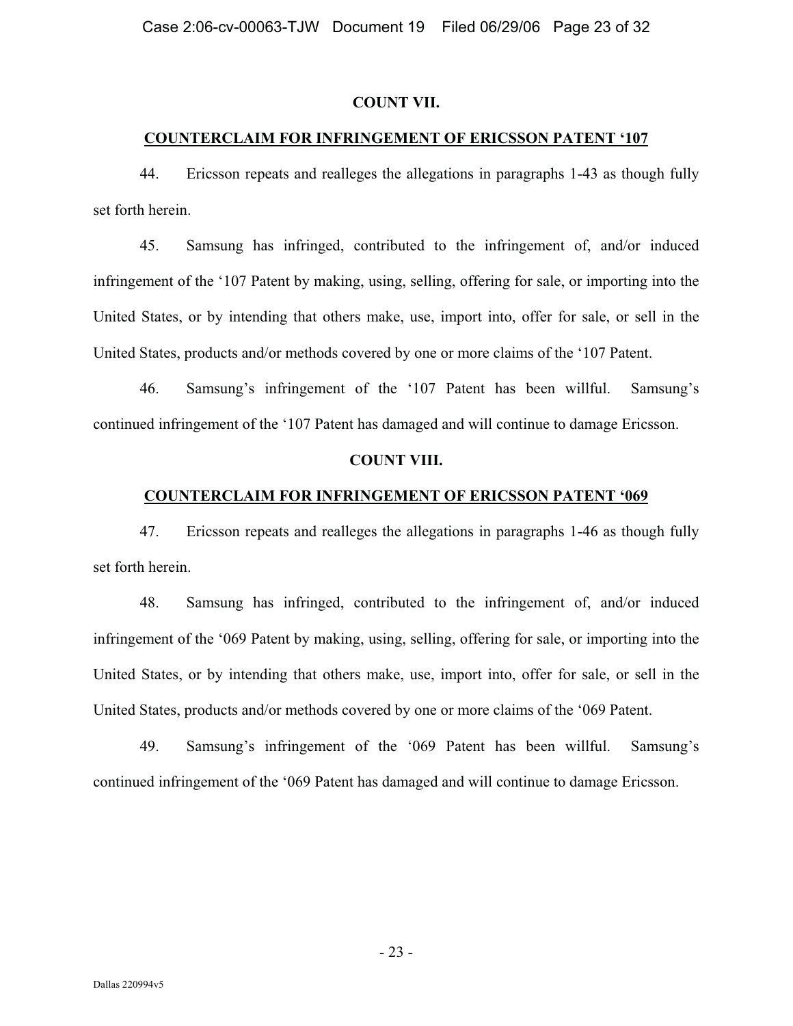#### **COUNT VII.**

## **COUNTERCLAIM FOR INFRINGEMENT OF ERICSSON PATENT '107**

44. Ericsson repeats and realleges the allegations in paragraphs 1-43 as though fully set forth herein.

45. Samsung has infringed, contributed to the infringement of, and/or induced infringement of the '107 Patent by making, using, selling, offering for sale, or importing into the United States, or by intending that others make, use, import into, offer for sale, or sell in the United States, products and/or methods covered by one or more claims of the '107 Patent.

46. Samsung's infringement of the '107 Patent has been willful. Samsung's continued infringement of the '107 Patent has damaged and will continue to damage Ericsson.

#### **COUNT VIII.**

## **COUNTERCLAIM FOR INFRINGEMENT OF ERICSSON PATENT '069**

47. Ericsson repeats and realleges the allegations in paragraphs 1-46 as though fully set forth herein.

48. Samsung has infringed, contributed to the infringement of, and/or induced infringement of the '069 Patent by making, using, selling, offering for sale, or importing into the United States, or by intending that others make, use, import into, offer for sale, or sell in the United States, products and/or methods covered by one or more claims of the '069 Patent.

49. Samsung's infringement of the '069 Patent has been willful. Samsung's continued infringement of the '069 Patent has damaged and will continue to damage Ericsson.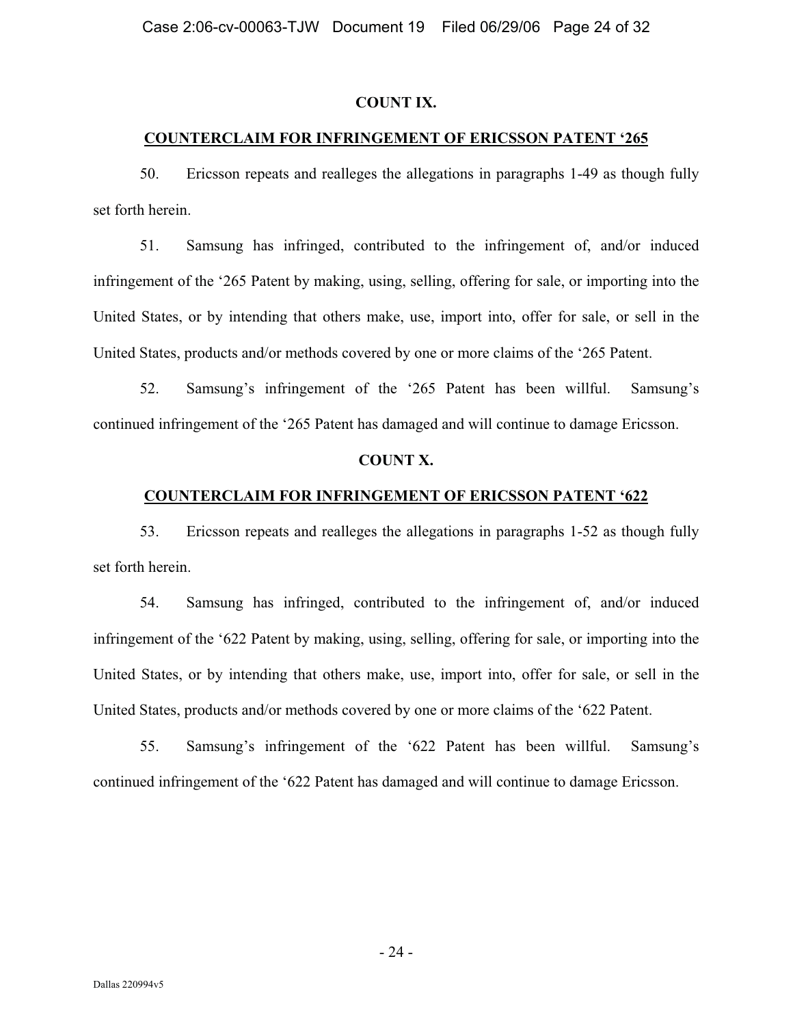#### **COUNT IX.**

## **COUNTERCLAIM FOR INFRINGEMENT OF ERICSSON PATENT '265**

50. Ericsson repeats and realleges the allegations in paragraphs 1-49 as though fully set forth herein.

51. Samsung has infringed, contributed to the infringement of, and/or induced infringement of the '265 Patent by making, using, selling, offering for sale, or importing into the United States, or by intending that others make, use, import into, offer for sale, or sell in the United States, products and/or methods covered by one or more claims of the '265 Patent.

52. Samsung's infringement of the '265 Patent has been willful. Samsung's continued infringement of the '265 Patent has damaged and will continue to damage Ericsson.

#### **COUNT X.**

## **COUNTERCLAIM FOR INFRINGEMENT OF ERICSSON PATENT '622**

53. Ericsson repeats and realleges the allegations in paragraphs 1-52 as though fully set forth herein.

54. Samsung has infringed, contributed to the infringement of, and/or induced infringement of the '622 Patent by making, using, selling, offering for sale, or importing into the United States, or by intending that others make, use, import into, offer for sale, or sell in the United States, products and/or methods covered by one or more claims of the '622 Patent.

55. Samsung's infringement of the '622 Patent has been willful. Samsung's continued infringement of the '622 Patent has damaged and will continue to damage Ericsson.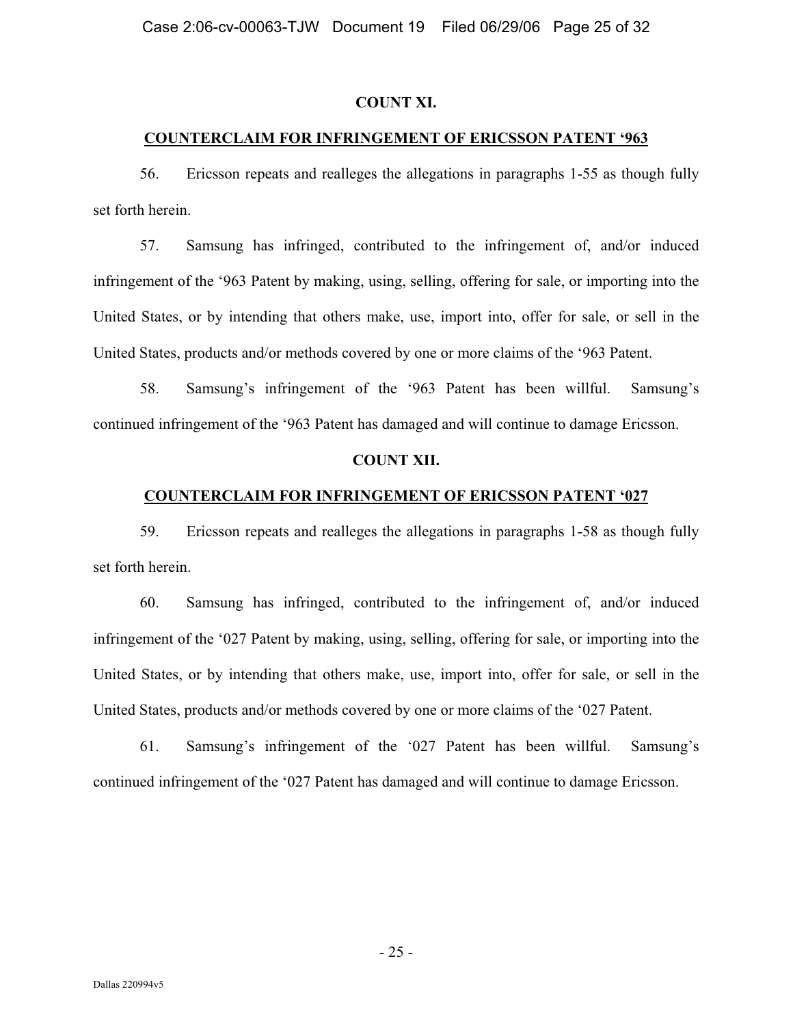#### **COUNT XI.**

## **COUNTERCLAIM FOR INFRINGEMENT OF ERICSSON PATENT '963**

56. Ericsson repeats and realleges the allegations in paragraphs 1-55 as though fully set forth herein.

57. Samsung has infringed, contributed to the infringement of, and/or induced infringement of the '963 Patent by making, using, selling, offering for sale, or importing into the United States, or by intending that others make, use, import into, offer for sale, or sell in the United States, products and/or methods covered by one or more claims of the '963 Patent.

58. Samsung's infringement of the '963 Patent has been willful. Samsung's continued infringement of the '963 Patent has damaged and will continue to damage Ericsson.

## **COUNT XII.**

## **COUNTERCLAIM FOR INFRINGEMENT OF ERICSSON PATENT '027**

59. Ericsson repeats and realleges the allegations in paragraphs 1-58 as though fully set forth herein.

60. Samsung has infringed, contributed to the infringement of, and/or induced infringement of the '027 Patent by making, using, selling, offering for sale, or importing into the United States, or by intending that others make, use, import into, offer for sale, or sell in the United States, products and/or methods covered by one or more claims of the '027 Patent.

61. Samsung's infringement of the '027 Patent has been willful. Samsung's continued infringement of the '027 Patent has damaged and will continue to damage Ericsson.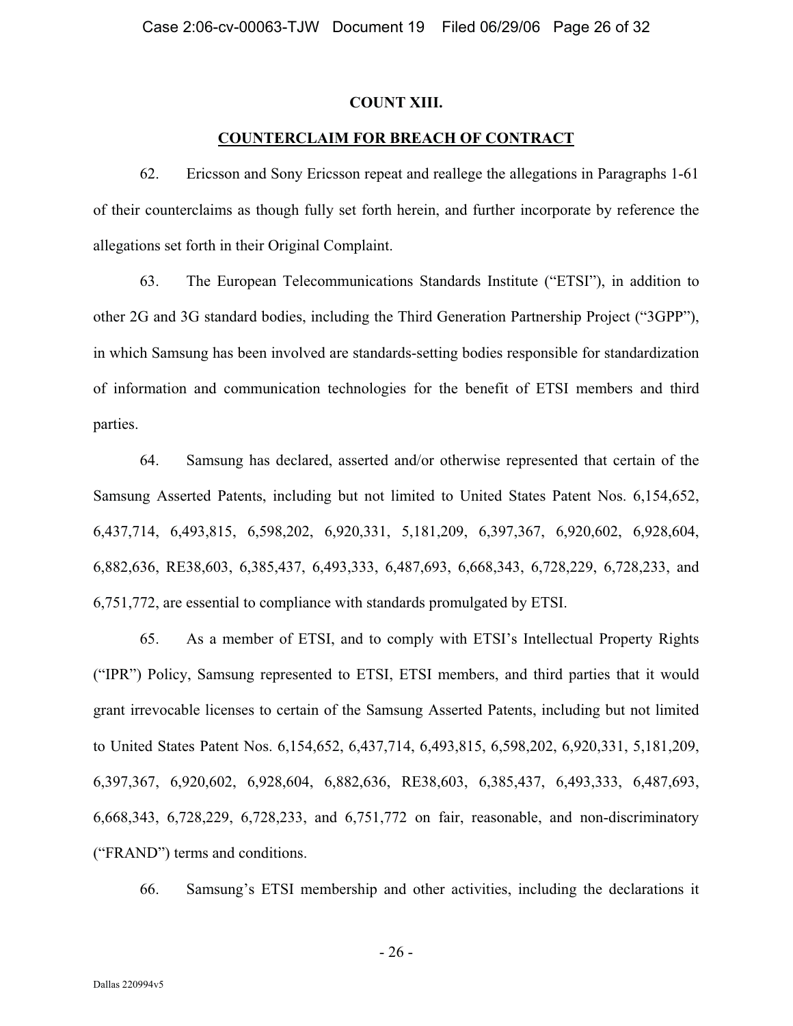#### **COUNT XIII.**

## **COUNTERCLAIM FOR BREACH OF CONTRACT**

62. Ericsson and Sony Ericsson repeat and reallege the allegations in Paragraphs 1-61 of their counterclaims as though fully set forth herein, and further incorporate by reference the allegations set forth in their Original Complaint.

63. The European Telecommunications Standards Institute ("ETSI"), in addition to other 2G and 3G standard bodies, including the Third Generation Partnership Project ("3GPP"), in which Samsung has been involved are standards-setting bodies responsible for standardization of information and communication technologies for the benefit of ETSI members and third parties.

64. Samsung has declared, asserted and/or otherwise represented that certain of the Samsung Asserted Patents, including but not limited to United States Patent Nos. 6,154,652, 6,437,714, 6,493,815, 6,598,202, 6,920,331, 5,181,209, 6,397,367, 6,920,602, 6,928,604, 6,882,636, RE38,603, 6,385,437, 6,493,333, 6,487,693, 6,668,343, 6,728,229, 6,728,233, and 6,751,772, are essential to compliance with standards promulgated by ETSI.

65. As a member of ETSI, and to comply with ETSI's Intellectual Property Rights ("IPR") Policy, Samsung represented to ETSI, ETSI members, and third parties that it would grant irrevocable licenses to certain of the Samsung Asserted Patents, including but not limited to United States Patent Nos. 6,154,652, 6,437,714, 6,493,815, 6,598,202, 6,920,331, 5,181,209, 6,397,367, 6,920,602, 6,928,604, 6,882,636, RE38,603, 6,385,437, 6,493,333, 6,487,693, 6,668,343, 6,728,229, 6,728,233, and 6,751,772 on fair, reasonable, and non-discriminatory ("FRAND") terms and conditions.

66. Samsung's ETSI membership and other activities, including the declarations it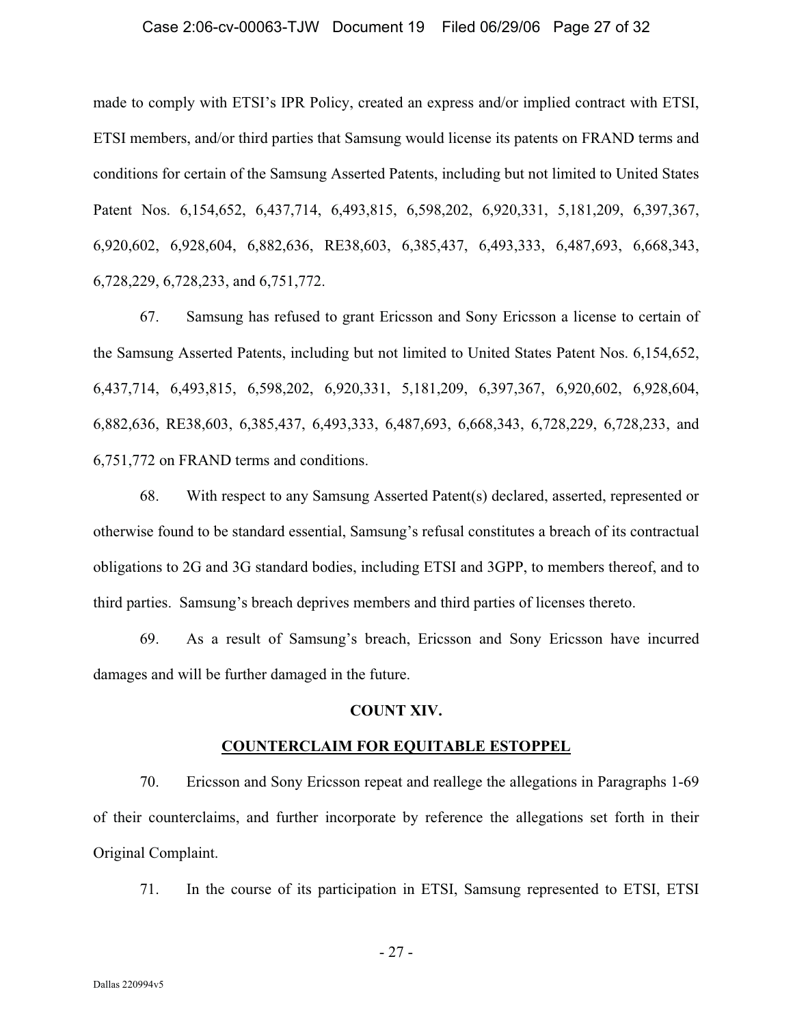#### Case 2:06-cv-00063-TJW Document 19 Filed 06/29/06 Page 27 of 32

made to comply with ETSI's IPR Policy, created an express and/or implied contract with ETSI, ETSI members, and/or third parties that Samsung would license its patents on FRAND terms and conditions for certain of the Samsung Asserted Patents, including but not limited to United States Patent Nos. 6,154,652, 6,437,714, 6,493,815, 6,598,202, 6,920,331, 5,181,209, 6,397,367, 6,920,602, 6,928,604, 6,882,636, RE38,603, 6,385,437, 6,493,333, 6,487,693, 6,668,343, 6,728,229, 6,728,233, and 6,751,772.

67. Samsung has refused to grant Ericsson and Sony Ericsson a license to certain of the Samsung Asserted Patents, including but not limited to United States Patent Nos. 6,154,652, 6,437,714, 6,493,815, 6,598,202, 6,920,331, 5,181,209, 6,397,367, 6,920,602, 6,928,604, 6,882,636, RE38,603, 6,385,437, 6,493,333, 6,487,693, 6,668,343, 6,728,229, 6,728,233, and 6,751,772 on FRAND terms and conditions.

68. With respect to any Samsung Asserted Patent(s) declared, asserted, represented or otherwise found to be standard essential, Samsung's refusal constitutes a breach of its contractual obligations to 2G and 3G standard bodies, including ETSI and 3GPP, to members thereof, and to third parties. Samsung's breach deprives members and third parties of licenses thereto.

69. As a result of Samsung's breach, Ericsson and Sony Ericsson have incurred damages and will be further damaged in the future.

#### **COUNT XIV.**

#### **COUNTERCLAIM FOR EQUITABLE ESTOPPEL**

70. Ericsson and Sony Ericsson repeat and reallege the allegations in Paragraphs 1-69 of their counterclaims, and further incorporate by reference the allegations set forth in their Original Complaint.

71. In the course of its participation in ETSI, Samsung represented to ETSI, ETSI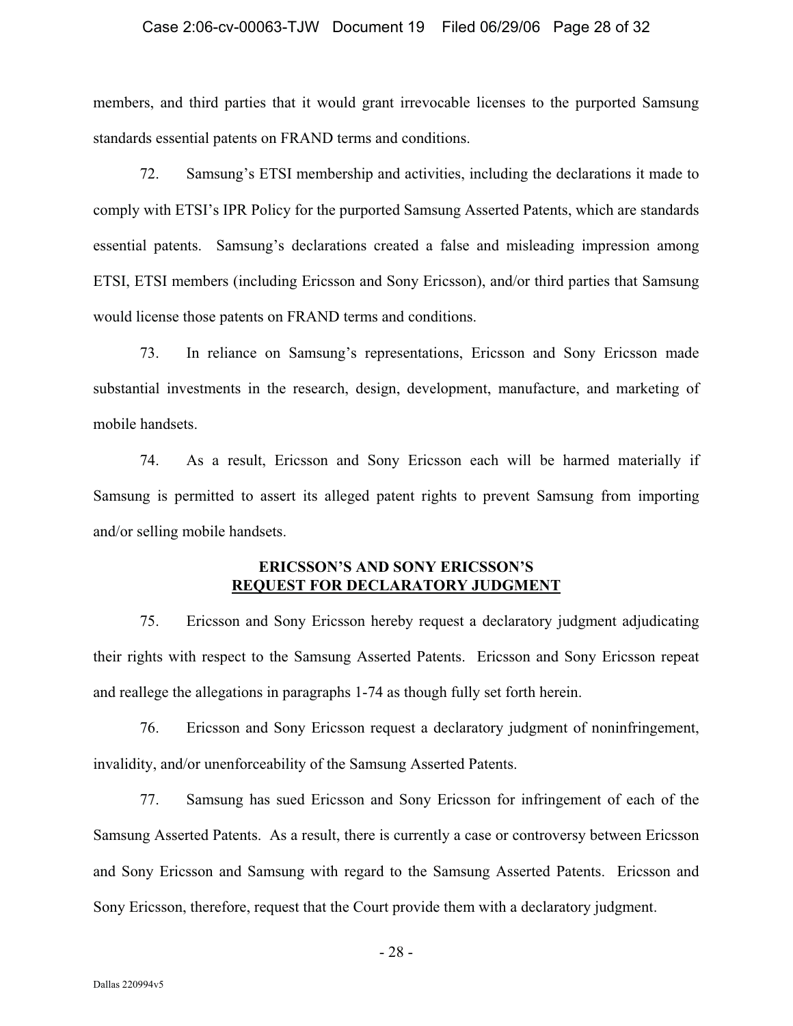#### Case 2:06-cv-00063-TJW Document 19 Filed 06/29/06 Page 28 of 32

members, and third parties that it would grant irrevocable licenses to the purported Samsung standards essential patents on FRAND terms and conditions.

72. Samsung's ETSI membership and activities, including the declarations it made to comply with ETSI's IPR Policy for the purported Samsung Asserted Patents, which are standards essential patents. Samsung's declarations created a false and misleading impression among ETSI, ETSI members (including Ericsson and Sony Ericsson), and/or third parties that Samsung would license those patents on FRAND terms and conditions.

73. In reliance on Samsung's representations, Ericsson and Sony Ericsson made substantial investments in the research, design, development, manufacture, and marketing of mobile handsets.

74. As a result, Ericsson and Sony Ericsson each will be harmed materially if Samsung is permitted to assert its alleged patent rights to prevent Samsung from importing and/or selling mobile handsets.

## **ERICSSON'S AND SONY ERICSSON'S REQUEST FOR DECLARATORY JUDGMENT**

75. Ericsson and Sony Ericsson hereby request a declaratory judgment adjudicating their rights with respect to the Samsung Asserted Patents. Ericsson and Sony Ericsson repeat and reallege the allegations in paragraphs 1-74 as though fully set forth herein.

76. Ericsson and Sony Ericsson request a declaratory judgment of noninfringement, invalidity, and/or unenforceability of the Samsung Asserted Patents.

77. Samsung has sued Ericsson and Sony Ericsson for infringement of each of the Samsung Asserted Patents. As a result, there is currently a case or controversy between Ericsson and Sony Ericsson and Samsung with regard to the Samsung Asserted Patents. Ericsson and Sony Ericsson, therefore, request that the Court provide them with a declaratory judgment.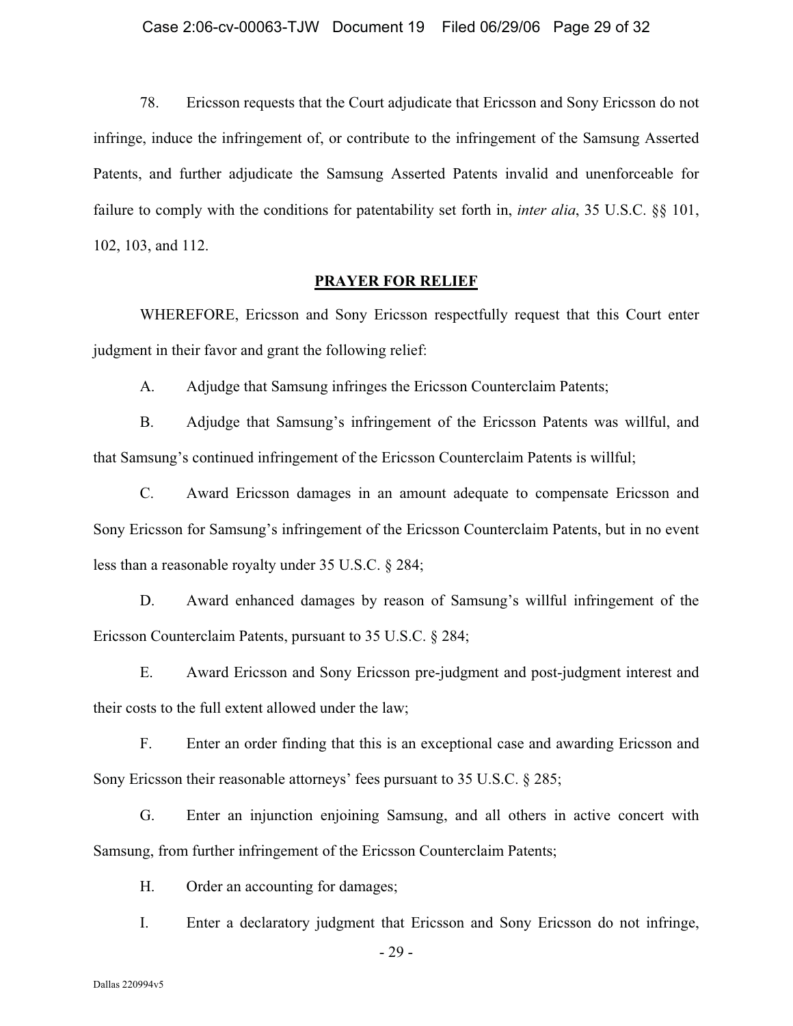78. Ericsson requests that the Court adjudicate that Ericsson and Sony Ericsson do not infringe, induce the infringement of, or contribute to the infringement of the Samsung Asserted Patents, and further adjudicate the Samsung Asserted Patents invalid and unenforceable for failure to comply with the conditions for patentability set forth in, *inter alia*, 35 U.S.C. §§ 101, 102, 103, and 112.

#### **PRAYER FOR RELIEF**

WHEREFORE, Ericsson and Sony Ericsson respectfully request that this Court enter judgment in their favor and grant the following relief:

A. Adjudge that Samsung infringes the Ericsson Counterclaim Patents;

B. Adjudge that Samsung's infringement of the Ericsson Patents was willful, and that Samsung's continued infringement of the Ericsson Counterclaim Patents is willful;

C. Award Ericsson damages in an amount adequate to compensate Ericsson and Sony Ericsson for Samsung's infringement of the Ericsson Counterclaim Patents, but in no event less than a reasonable royalty under 35 U.S.C. § 284;

D. Award enhanced damages by reason of Samsung's willful infringement of the Ericsson Counterclaim Patents, pursuant to 35 U.S.C. § 284;

E. Award Ericsson and Sony Ericsson pre-judgment and post-judgment interest and their costs to the full extent allowed under the law;

F. Enter an order finding that this is an exceptional case and awarding Ericsson and Sony Ericsson their reasonable attorneys' fees pursuant to 35 U.S.C. § 285;

G. Enter an injunction enjoining Samsung, and all others in active concert with Samsung, from further infringement of the Ericsson Counterclaim Patents;

H. Order an accounting for damages;

I. Enter a declaratory judgment that Ericsson and Sony Ericsson do not infringe,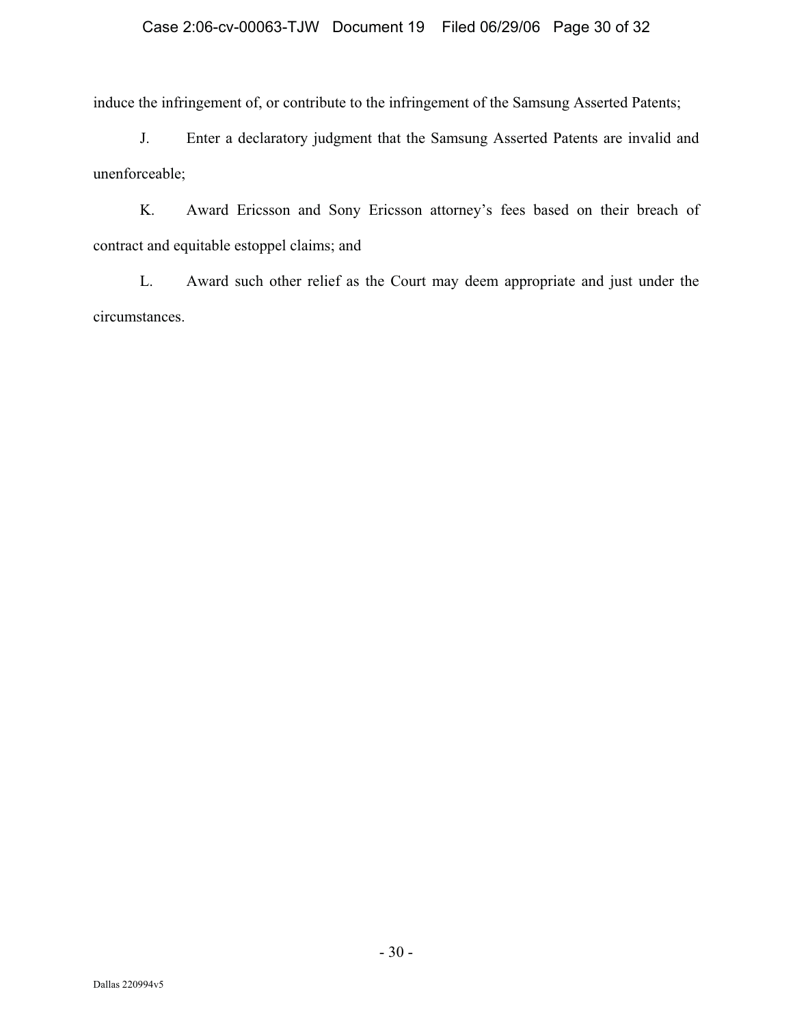# Case 2:06-cv-00063-TJW Document 19 Filed 06/29/06 Page 30 of 32

induce the infringement of, or contribute to the infringement of the Samsung Asserted Patents;

J. Enter a declaratory judgment that the Samsung Asserted Patents are invalid and unenforceable;

K. Award Ericsson and Sony Ericsson attorney's fees based on their breach of contract and equitable estoppel claims; and

L. Award such other relief as the Court may deem appropriate and just under the circumstances.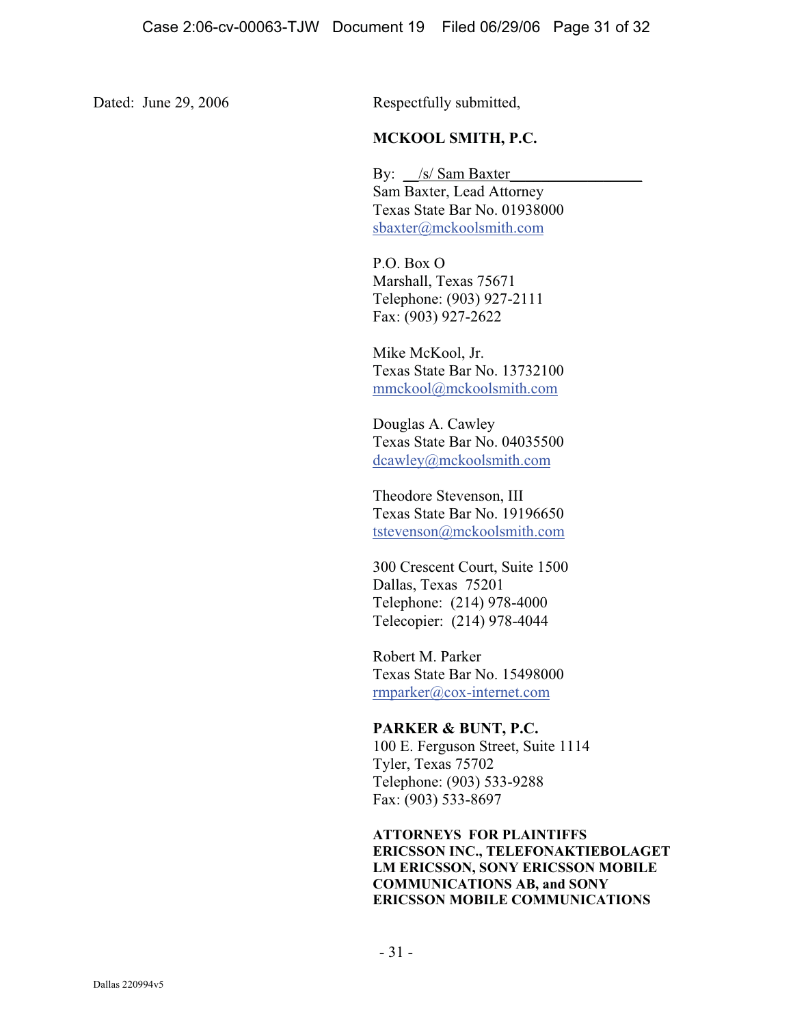Dated: June 29, 2006 Respectfully submitted,

# **MCKOOL SMITH, P.C.**

By: /s/ Sam Baxter Sam Baxter, Lead Attorney Texas State Bar No. 01938000 sbaxter@mckoolsmith.com

 P.O. Box O Marshall, Texas 75671 Telephone: (903) 927-2111 Fax: (903) 927-2622

Mike McKool, Jr. Texas State Bar No. 13732100 mmckool@mckoolsmith.com

Douglas A. Cawley Texas State Bar No. 04035500 dcawley@mckoolsmith.com

Theodore Stevenson, III Texas State Bar No. 19196650 tstevenson@mckoolsmith.com

 300 Crescent Court, Suite 1500 Dallas, Texas 75201 Telephone: (214) 978-4000 Telecopier: (214) 978-4044

 Robert M. Parker Texas State Bar No. 15498000 rmparker@cox-internet.com

## **PARKER & BUNT, P.C.**

 100 E. Ferguson Street, Suite 1114 Tyler, Texas 75702 Telephone: (903) 533-9288 Fax: (903) 533-8697

 **ATTORNEYS FOR PLAINTIFFS ERICSSON INC., TELEFONAKTIEBOLAGET LM ERICSSON, SONY ERICSSON MOBILE COMMUNICATIONS AB, and SONY ERICSSON MOBILE COMMUNICATIONS**